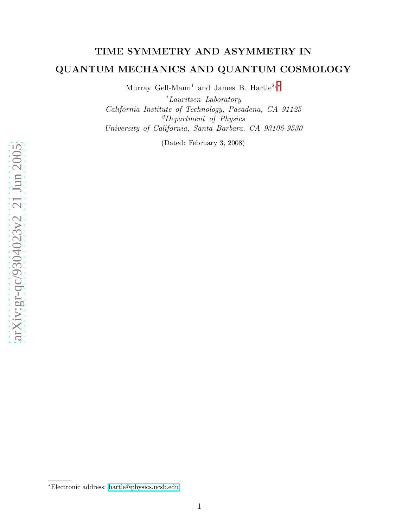# TIME SYMMETRY AND ASYMMETRY IN QUANTUM MECHANICS AND QUANTUM COSMOLOGY

Murray Gell-Mann<sup>1</sup> and James B. Hartle<sup>2,\*</sup>

 $<sup>1</sup> Lauritsen$  Laboratory</sup> California Institute of Technology, Pasadena, CA 91125<br><sup>2</sup>Department of Physics University of California, Santa Barbara, CA 93106-9530

(Dated: February 3, 2008)

<span id="page-0-0"></span><sup>∗</sup>Electronic address: [hartle@physics.ucsb.edu](mailto:hartle@physics.ucsb.edu)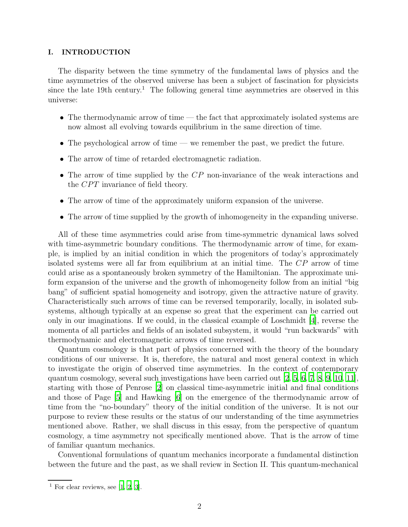# I. INTRODUCTION

The disparity between the time symmetry of the fundamental laws of physics and the time asymmetries of the observed universe has been a subject of fascination for physicists since the late 19th century.<sup>1</sup> The following general time asymmetries are observed in this universe:

- The thermodynamic arrow of time the fact that approximately isolated systems are now almost all evolving towards equilibrium in the same direction of time.
- The psychological arrow of time we remember the past, we predict the future.
- The arrow of time of retarded electromagnetic radiation.
- The arrow of time supplied by the  $\mathbb{CP}$  non-invariance of the weak interactions and the CPT invariance of field theory.
- The arrow of time of the approximately uniform expansion of the universe.
- The arrow of time supplied by the growth of inhomogeneity in the expanding universe.

All of these time asymmetries could arise from time-symmetric dynamical laws solved with time-asymmetric boundary conditions. The thermodynamic arrow of time, for example, is implied by an initial condition in which the progenitors of today's approximately isolated systems were all far from equilibrium at an initial time. The CP arrow of time could arise as a spontaneously broken symmetry of the Hamiltonian. The approximate uniform expansion of the universe and the growth of inhomogeneity follow from an initial "big bang" of sufficient spatial homogeneity and isotropy, given the attractive nature of gravity. Characteristically such arrows of time can be reversed temporarily, locally, in isolated subsystems, although typically at an expense so great that the experiment can be carried out only in our imaginations. If we could, in the classical example of Loschmidt [\[4\]](#page-24-0), reverse the momenta of all particles and fields of an isolated subsystem, it would "run backwards" with thermodynamic and electromagnetic arrows of time reversed.

Quantum cosmology is that part of physics concerned with the theory of the boundary conditions of our universe. It is, therefore, the natural and most general context in which to investigate the origin of observed time asymmetries. In the context of contemporary quantum cosmology, several such investigations have been carried out  $[2, 5, 6, 7, 8, 9, 10, 11]$  $[2, 5, 6, 7, 8, 9, 10, 11]$  $[2, 5, 6, 7, 8, 9, 10, 11]$  $[2, 5, 6, 7, 8, 9, 10, 11]$  $[2, 5, 6, 7, 8, 9, 10, 11]$  $[2, 5, 6, 7, 8, 9, 10, 11]$  $[2, 5, 6, 7, 8, 9, 10, 11]$  $[2, 5, 6, 7, 8, 9, 10, 11]$  $[2, 5, 6, 7, 8, 9, 10, 11]$  $[2, 5, 6, 7, 8, 9, 10, 11]$  $[2, 5, 6, 7, 8, 9, 10, 11]$ , starting with those of Penrose [\[2\]](#page-24-1) on classical time-asymmetric initial and final conditions and those of Page [\[5](#page-24-2)] and Hawking [\[6\]](#page-24-3) on the emergence of the thermodynamic arrow of time from the "no-boundary" theory of the initial condition of the universe. It is not our purpose to review these results or the status of our understanding of the time asymmetries mentioned above. Rather, we shall discuss in this essay, from the perspective of quantum cosmology, a time asymmetry not specifically mentioned above. That is the arrow of time of familiar quantum mechanics.

Conventional formulations of quantum mechanics incorporate a fundamental distinction between the future and the past, as we shall review in Section II. This quantum-mechanical

<sup>&</sup>lt;sup>1</sup> For clear reviews, see [\[1,](#page-23-0) [2,](#page-24-1) [3\]](#page-24-9).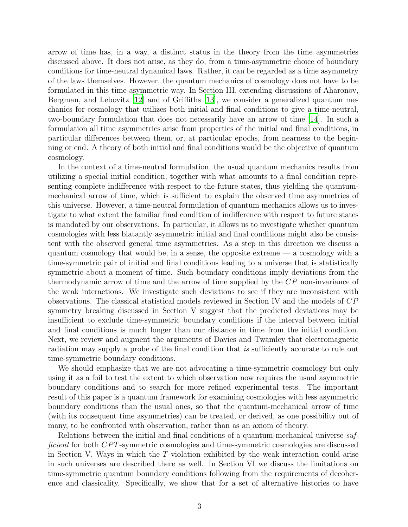arrow of time has, in a way, a distinct status in the theory from the time asymmetries discussed above. It does not arise, as they do, from a time-asymmetric choice of boundary conditions for time-neutral dynamical laws. Rather, it can be regarded as a time asymmetry of the laws themselves. However, the quantum mechanics of cosmology does not have to be formulated in this time-asymmetric way. In Section III, extending discussions of Aharonov, Bergman, and Lebovitz [\[12\]](#page-24-10) and of Griffiths [\[13](#page-24-11)], we consider a generalized quantum mechanics for cosmology that utilizes both initial and final conditions to give a time-neutral, two-boundary formulation that does not necessarily have an arrow of time [\[14](#page-24-12)]. In such a formulation all time asymmetries arise from properties of the initial and final conditions, in particular differences between them, or, at particular epochs, from nearness to the beginning or end. A theory of both initial and final conditions would be the objective of quantum cosmology.

In the context of a time-neutral formulation, the usual quantum mechanics results from utilizing a special initial condition, together with what amounts to a final condition representing complete indifference with respect to the future states, thus yielding the quantummechanical arrow of time, which is sufficient to explain the observed time asymmetries of this universe. However, a time-neutral formulation of quantum mechanics allows us to investigate to what extent the familiar final condition of indifference with respect to future states is mandated by our observations. In particular, it allows us to investigate whether quantum cosmologies with less blatantly asymmetric initial and final conditions might also be consistent with the observed general time asymmetries. As a step in this direction we discuss a quantum cosmology that would be, in a sense, the opposite extreme — a cosmology with a time-symmetric pair of initial and final conditions leading to a universe that is statistically symmetric about a moment of time. Such boundary conditions imply deviations from the thermodynamic arrow of time and the arrow of time supplied by the CP non-invariance of the weak interactions. We investigate such deviations to see if they are inconsistent with observations. The classical statistical models reviewed in Section IV and the models of CP symmetry breaking discussed in Section V suggest that the predicted deviations may be insufficient to exclude time-symmetric boundary conditions if the interval between initial and final conditions is much longer than our distance in time from the initial condition. Next, we review and augment the arguments of Davies and Twamley that electromagnetic radiation may supply a probe of the final condition that is sufficiently accurate to rule out time-symmetric boundary conditions.

We should emphasize that we are not advocating a time-symmetric cosmology but only using it as a foil to test the extent to which observation now requires the usual asymmetric boundary conditions and to search for more refined experimental tests. The important result of this paper is a quantum framework for examining cosmologies with less asymmetric boundary conditions than the usual ones, so that the quantum-mechanical arrow of time (with its consequent time asymmetries) can be treated, or derived, as one possibility out of many, to be confronted with observation, rather than as an axiom of theory.

Relations between the initial and final conditions of a quantum-mechanical universe sufficient for both CPT-symmetric cosmologies and time-symmetric cosmologies are discussed in Section V. Ways in which the T-violation exhibited by the weak interaction could arise in such universes are described there as well. In Section VI we discuss the limitations on time-symmetric quantum boundary conditions following from the requirements of decoherence and classicality. Specifically, we show that for a set of alternative histories to have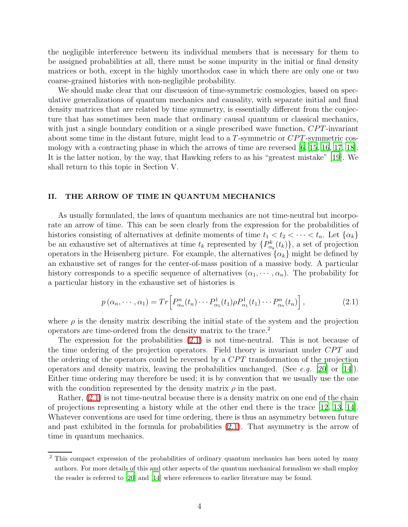the negligible interference between its individual members that is necessary for them to be assigned probabilities at all, there must be some impurity in the initial or final density matrices or both, except in the highly unorthodox case in which there are only one or two coarse-grained histories with non-negligible probability.

We should make clear that our discussion of time-symmetric cosmologies, based on speculative generalizations of quantum mechanics and causality, with separate initial and final density matrices that are related by time symmetry, is essentially different from the conjecture that has sometimes been made that ordinary causal quantum or classical mechanics, with just a single boundary condition or a single prescribed wave function,  $CPT$ -invariant about some time in the distant future, might lead to a  $T$ -symmetric or  $CPT$ -symmetric cosmology with a contracting phase in which the arrows of time are reversed  $[6, 15, 16, 17, 18]$  $[6, 15, 16, 17, 18]$  $[6, 15, 16, 17, 18]$  $[6, 15, 16, 17, 18]$  $[6, 15, 16, 17, 18]$  $[6, 15, 16, 17, 18]$  $[6, 15, 16, 17, 18]$ . It is the latter notion, by the way, that Hawking refers to as his "greatest mistake" [\[19](#page-24-17)]. We shall return to this topic in Section V.

# II. THE ARROW OF TIME IN QUANTUM MECHANICS

As usually formulated, the laws of quantum mechanics are not time-neutral but incorporate an arrow of time. This can be seen clearly from the expression for the probabilities of histories consisting of alternatives at definite moments of time  $t_1 < t_2 < \cdots < t_n$ . Let  $\{\alpha_k\}$ be an exhaustive set of alternatives at time  $t_k$  represented by  $\{P_{\alpha_k}^k(t_k)\}\$ , a set of projection operators in the Heisenberg picture. For example, the alternatives  $\{\alpha_k\}$  might be defined by an exhaustive set of ranges for the center-of-mass position of a massive body. A particular history corresponds to a specific sequence of alternatives  $(\alpha_1, \dots, \alpha_n)$ . The probability for a particular history in the exhaustive set of histories is

<span id="page-3-0"></span>
$$
p\left(\alpha_n, \cdots, \alpha_1\right) = Tr\left[P_{\alpha_n}^n(t_n)\cdots P_{\alpha_1}^1(t_1)\rho P_{\alpha_1}^1(t_1)\cdots P_{\alpha_n}^n(t_n)\right],\tag{2.1}
$$

where  $\rho$  is the density matrix describing the initial state of the system and the projection operators are time-ordered from the density matrix to the trace.<sup>2</sup>

The expression for the probabilities [\(2.1\)](#page-3-0) is not time-neutral. This is not because of the time ordering of the projection operators. Field theory is invariant under  $CPT$  and the ordering of the operators could be reversed by a  $CPT$  transformation of the projection operators and density matrix, leaving the probabilities unchanged. (See e.g. [\[20\]](#page-24-18) or [\[14](#page-24-12)]). Either time ordering may therefore be used; it is by convention that we usually use the one with the condition represented by the density matrix  $\rho$  in the past.

Rather, [\(2.1\)](#page-3-0) is not time-neutral because there is a density matrix on one end of the chain of projections representing a history while at the other end there is the trace [\[12,](#page-24-10) [13](#page-24-11), [14\]](#page-24-12). Whatever conventions are used for time ordering, there is thus an asymmetry between future and past exhibited in the formula for probabilities [\(2.1\)](#page-3-0). That asymmetry is the arrow of time in quantum mechanics.

<sup>&</sup>lt;sup>2</sup> This compact expression of the probabilities of ordinary quantum mechanics has been noted by many authors. For more details of this and other aspects of the quantum mechanical formalism we shall employ the reader is referred to [\[20\]](#page-24-18) and [\[14\]](#page-24-12) where references to earlier literature may be found.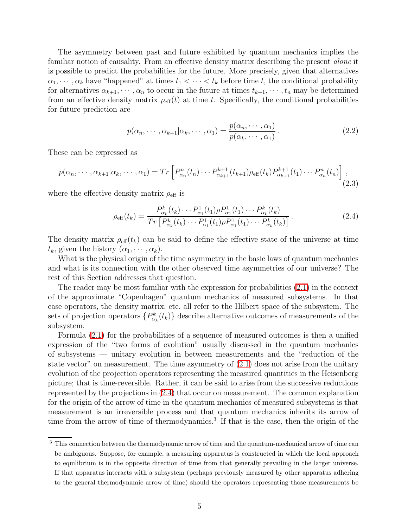The asymmetry between past and future exhibited by quantum mechanics implies the familiar notion of causality. From an effective density matrix describing the present *alone* it is possible to predict the probabilities for the future. More precisely, given that alternatives  $\alpha_1, \dots, \alpha_k$  have "happened" at times  $t_1 < \dots < t_k$  before time t, the conditional probability for alternatives  $\alpha_{k+1}, \dots, \alpha_n$  to occur in the future at times  $t_{k+1}, \dots, t_n$  may be determined from an effective density matrix  $\rho_{\text{eff}}(t)$  at time t. Specifically, the conditional probabilities for future prediction are

$$
p(\alpha_n, \cdots, \alpha_{k+1} | \alpha_k, \cdots, \alpha_1) = \frac{p(\alpha_n, \cdots, \alpha_1)}{p(\alpha_k, \cdots, \alpha_1)}.
$$
\n(2.2)

These can be expressed as

$$
p(\alpha_n, \cdots, \alpha_{k+1} | \alpha_k, \cdots, \alpha_1) = Tr \left[ P_{\alpha_n}^n(t_n) \cdots P_{\alpha_{k+1}}^{k+1}(t_{k+1}) \rho_{\text{eff}}(t_k) P_{\alpha_{k+1}}^{k+1}(t_1) \cdots P_{\alpha_n}^n(t_n) \right],
$$
\n(2.3)

where the effective density matrix  $\rho_{\text{eff}}$  is

<span id="page-4-0"></span>
$$
\rho_{\text{eff}}(t_k) = \frac{P_{\alpha_k}^k(t_k) \cdots P_{\alpha_1}^1(t_1) \rho P_{\alpha_1}^1(t_1) \cdots P_{\alpha_k}^k(t_k)}{Tr \left[ P_{\alpha_k}^k(t_k) \cdots P_{\alpha_1}^1(t_1) \rho P_{\alpha_1}^1(t_1) \cdots P_{\alpha_k}^k(t_k) \right]}.
$$
\n(2.4)

The density matrix  $\rho_{\text{eff}}(t_k)$  can be said to define the effective state of the universe at time  $t_k$ , given the history  $(\alpha_1, \cdots, \alpha_k)$ .

What is the physical origin of the time asymmetry in the basic laws of quantum mechanics and what is its connection with the other observed time asymmetries of our universe? The rest of this Section addresses that question.

The reader may be most familiar with the expression for probabilities [\(2.1\)](#page-3-0) in the context of the approximate "Copenhagen" quantum mechanics of measured subsystems. In that case operators, the density matrix, etc. all refer to the Hilbert space of the subsystem. The sets of projection operators  $\{P_{\alpha_k}^k(t_k)\}\)$  describe alternative outcomes of measurements of the subsystem.

Formula [\(2.1\)](#page-3-0) for the probabilities of a sequence of measured outcomes is then a unified expression of the "two forms of evolution" usually discussed in the quantum mechanics of subsystems — unitary evolution in between measurements and the "reduction of the state vector" on measurement. The time asymmetry of  $(2.1)$  does not arise from the unitary evolution of the projection operators representing the measured quantities in the Heisenberg picture; that is time-reversible. Rather, it can be said to arise from the successive reductions represented by the projections in [\(2.4\)](#page-4-0) that occur on measurement. The common explanation for the origin of the arrow of time in the quantum mechanics of measured subsystems is that measurement is an irreversible process and that quantum mechanics inherits its arrow of time from the arrow of time of thermodynamics.<sup>3</sup> If that is the case, then the origin of the

<sup>3</sup> This connection between the thermodynamic arrow of time and the quantum-mechanical arrow of time can be ambiguous. Suppose, for example, a measuring apparatus is constructed in which the local approach to equilibrium is in the opposite direction of time from that generally prevailing in the larger universe. If that apparatus interacts with a subsystem (perhaps previously measured by other apparatus adhering to the general thermodynamic arrow of time) should the operators representing those measurements be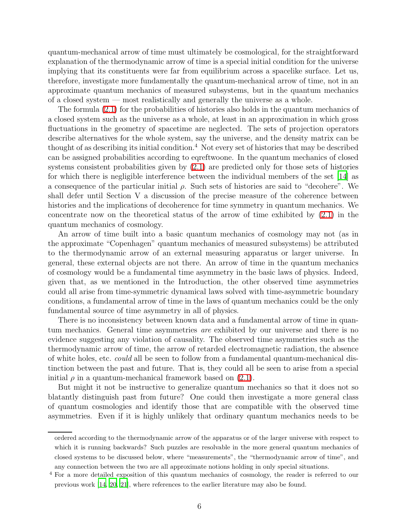quantum-mechanical arrow of time must ultimately be cosmological, for the straightforward explanation of the thermodynamic arrow of time is a special initial condition for the universe implying that its constituents were far from equilibrium across a spacelike surface. Let us, therefore, investigate more fundamentally the quantum-mechanical arrow of time, not in an approximate quantum mechanics of measured subsystems, but in the quantum mechanics of a closed system — most realistically and generally the universe as a whole.

The formula [\(2.1\)](#page-3-0) for the probabilities of histories also holds in the quantum mechanics of a closed system such as the universe as a whole, at least in an approximation in which gross fluctuations in the geometry of spacetime are neglected. The sets of projection operators describe alternatives for the whole system, say the universe, and the density matrix can be thought of as describing its initial condition.<sup>4</sup> Not every set of histories that may be described can be assigned probabilities according to eqreftwoone. In the quantum mechanics of closed systems consistent probabilities given by [\(2.1\)](#page-3-0) are predicted only for those sets of histories for which there is negligible interference between the individual members of the set [\[14](#page-24-12)] as a consequence of the particular initial ρ. Such sets of histories are said to "decohere". We shall defer until Section V a discussion of the precise measure of the coherence between histories and the implications of decoherence for time symmetry in quantum mechanics. We concentrate now on the theoretical status of the arrow of time exhibited by [\(2.1\)](#page-3-0) in the quantum mechanics of cosmology.

An arrow of time built into a basic quantum mechanics of cosmology may not (as in the approximate "Copenhagen" quantum mechanics of measured subsystems) be attributed to the thermodynamic arrow of an external measuring apparatus or larger universe. In general, these external objects are not there. An arrow of time in the quantum mechanics of cosmology would be a fundamental time asymmetry in the basic laws of physics. Indeed, given that, as we mentioned in the Introduction, the other observed time asymmetries could all arise from time-symmetric dynamical laws solved with time-asymmetric boundary conditions, a fundamental arrow of time in the laws of quantum mechanics could be the only fundamental source of time asymmetry in all of physics.

There is no inconsistency between known data and a fundamental arrow of time in quantum mechanics. General time asymmetries are exhibited by our universe and there is no evidence suggesting any violation of causality. The observed time asymmetries such as the thermodynamic arrow of time, the arrow of retarded electromagnetic radiation, the absence of white holes, etc. could all be seen to follow from a fundamental quantum-mechanical distinction between the past and future. That is, they could all be seen to arise from a special initial  $\rho$  in a quantum-mechanical framework based on  $(2.1)$ .

But might it not be instructive to generalize quantum mechanics so that it does not so blatantly distinguish past from future? One could then investigate a more general class of quantum cosmologies and identify those that are compatible with the observed time asymmetries. Even if it is highly unlikely that ordinary quantum mechanics needs to be

ordered according to the thermodynamic arrow of the apparatus or of the larger universe with respect to which it is running backwards? Such puzzles are resolvable in the more general quantum mechanics of closed systems to be discussed below, where "measurements", the "thermodynamic arrow of time", and any connection between the two are all approximate notions holding in only special situations.

<sup>4</sup> For a more detailed exposition of this quantum mechanics of cosmology, the reader is referred to our previous work [\[14,](#page-24-12) [20,](#page-24-18) [21\]](#page-24-19), where references to the earlier literature may also be found.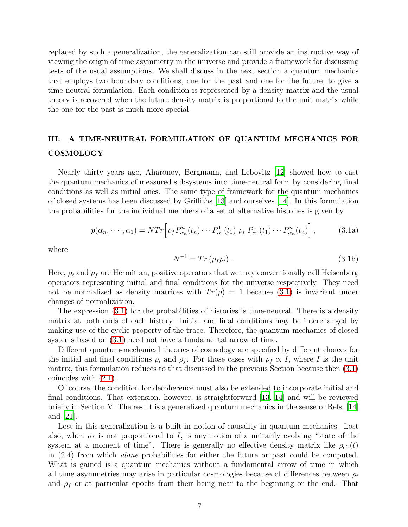replaced by such a generalization, the generalization can still provide an instructive way of viewing the origin of time asymmetry in the universe and provide a framework for discussing tests of the usual assumptions. We shall discuss in the next section a quantum mechanics that employs two boundary conditions, one for the past and one for the future, to give a time-neutral formulation. Each condition is represented by a density matrix and the usual theory is recovered when the future density matrix is proportional to the unit matrix while the one for the past is much more special.

# III. A TIME-NEUTRAL FORMULATION OF QUANTUM MECHANICS FOR COSMOLOGY

Nearly thirty years ago, Aharonov, Bergmann, and Lebovitz [\[12](#page-24-10)] showed how to cast the quantum mechanics of measured subsystems into time-neutral form by considering final conditions as well as initial ones. The same type of framework for the quantum mechanics of closed systems has been discussed by Griffiths [\[13](#page-24-11)] and ourselves [\[14\]](#page-24-12). In this formulation the probabilities for the individual members of a set of alternative histories is given by

$$
p(\alpha_n, \cdots, \alpha_1) = NTr \left[ \rho_f P_{\alpha_n}^n(t_n) \cdots P_{\alpha_1}^1(t_1) \rho_i \ P_{\alpha_1}^1(t_1) \cdots P_{\alpha_n}^n(t_n) \right],
$$
 (3.1a)

where

<span id="page-6-0"></span>
$$
N^{-1} = Tr(\rho_f \rho_i) \tag{3.1b}
$$

Here,  $\rho_i$  and  $\rho_f$  are Hermitian, positive operators that we may conventionally call Heisenberg operators representing initial and final conditions for the universe respectively. They need not be normalized as density matrices with  $Tr(\rho) = 1$  because [\(3.1\)](#page-6-0) is invariant under changes of normalization.

The expression [\(3.1\)](#page-6-0) for the probabilities of histories is time-neutral. There is a density matrix at both ends of each history. Initial and final conditions may be interchanged by making use of the cyclic property of the trace. Therefore, the quantum mechanics of closed systems based on [\(3.1\)](#page-6-0) need not have a fundamental arrow of time.

Different quantum-mechanical theories of cosmology are specified by different choices for the initial and final conditions  $\rho_i$  and  $\rho_f$ . For those cases with  $\rho_f \propto I$ , where I is the unit matrix, this formulation reduces to that discussed in the previous Section because then [\(3.1\)](#page-6-0) coincides with [\(2.1\)](#page-3-0).

Of course, the condition for decoherence must also be extended to incorporate initial and final conditions. That extension, however, is straightforward [\[13,](#page-24-11) [14](#page-24-12)] and will be reviewed briefly in Section V. The result is a generalized quantum mechanics in the sense of Refs. [\[14\]](#page-24-12) and [\[21\]](#page-24-19).

Lost in this generalization is a built-in notion of causality in quantum mechanics. Lost also, when  $\rho_f$  is not proportional to I, is any notion of a unitarily evolving "state of the system at a moment of time". There is generally no effective density matrix like  $\rho_{\text{eff}}(t)$ in (2.4) from which alone probabilities for either the future or past could be computed. What is gained is a quantum mechanics without a fundamental arrow of time in which all time asymmetries may arise in particular cosmologies because of differences between  $\rho_i$ and  $\rho_f$  or at particular epochs from their being near to the beginning or the end. That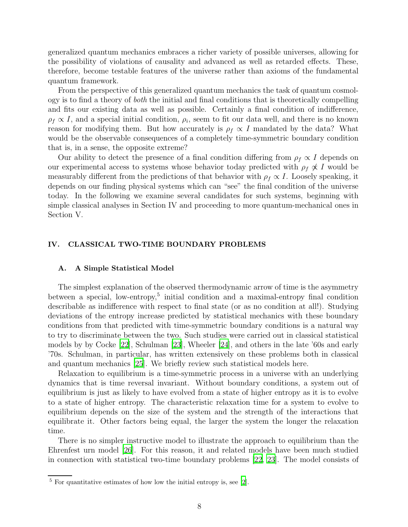generalized quantum mechanics embraces a richer variety of possible universes, allowing for the possibility of violations of causality and advanced as well as retarded effects. These, therefore, become testable features of the universe rather than axioms of the fundamental quantum framework.

From the perspective of this generalized quantum mechanics the task of quantum cosmology is to find a theory of both the initial and final conditions that is theoretically compelling and fits our existing data as well as possible. Certainly a final condition of indifference,  $\rho_f \propto I$ , and a special initial condition,  $\rho_i$ , seem to fit our data well, and there is no known reason for modifying them. But how accurately is  $\rho_f \propto I$  mandated by the data? What would be the observable consequences of a completely time-symmetric boundary condition that is, in a sense, the opposite extreme?

Our ability to detect the presence of a final condition differing from  $\rho_f \propto I$  depends on our experimental access to systems whose behavior today predicted with  $\rho_f \nless I$  would be measurably different from the predictions of that behavior with  $\rho_f \propto I$ . Loosely speaking, it depends on our finding physical systems which can "see" the final condition of the universe today. In the following we examine several candidates for such systems, beginning with simple classical analyses in Section IV and proceeding to more quantum-mechanical ones in Section V.

# IV. CLASSICAL TWO-TIME BOUNDARY PROBLEMS

#### A. A Simple Statistical Model

The simplest explanation of the observed thermodynamic arrow of time is the asymmetry between a special, low-entropy,<sup>5</sup> initial condition and a maximal-entropy final condition describable as indifference with respect to final state (or as no condition at all!). Studying deviations of the entropy increase predicted by statistical mechanics with these boundary conditions from that predicted with time-symmetric boundary conditions is a natural way to try to discriminate between the two. Such studies were carried out in classical statistical models by by Cocke [\[22](#page-24-20)], Schulman [\[23\]](#page-24-21), Wheeler [\[24\]](#page-24-22), and others in the late '60s and early '70s. Schulman, in particular, has written extensively on these problems both in classical and quantum mechanics [\[25\]](#page-24-23). We briefly review such statistical models here.

Relaxation to equilibrium is a time-symmetric process in a universe with an underlying dynamics that is time reversal invariant. Without boundary conditions, a system out of equilibrium is just as likely to have evolved from a state of higher entropy as it is to evolve to a state of higher entropy. The characteristic relaxation time for a system to evolve to equilibrium depends on the size of the system and the strength of the interactions that equilibrate it. Other factors being equal, the larger the system the longer the relaxation time.

There is no simpler instructive model to illustrate the approach to equilibrium than the Ehrenfest urn model [\[26\]](#page-24-24). For this reason, it and related models have been much studied in connection with statistical two-time boundary problems [\[22,](#page-24-20) [23\]](#page-24-21). The model consists of

 $5$  For quantitative estimates of how low the initial entropy is, see [\[2\]](#page-24-1).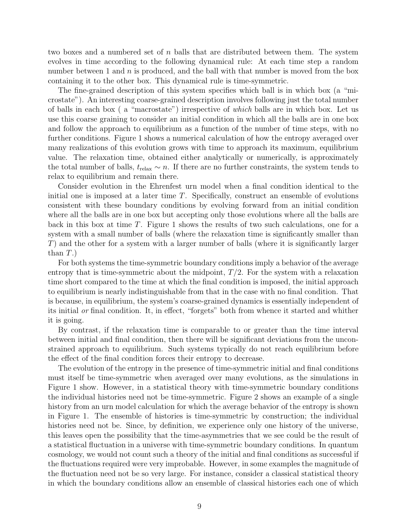two boxes and a numbered set of n balls that are distributed between them. The system evolves in time according to the following dynamical rule: At each time step a random number between 1 and  $n$  is produced, and the ball with that number is moved from the box containing it to the other box. This dynamical rule is time-symmetric.

The fine-grained description of this system specifies which ball is in which box (a "microstate"). An interesting coarse-grained description involves following just the total number of balls in each box ( a "macrostate") irrespective of which balls are in which box. Let us use this coarse graining to consider an initial condition in which all the balls are in one box and follow the approach to equilibrium as a function of the number of time steps, with no further conditions. Figure 1 shows a numerical calculation of how the entropy averaged over many realizations of this evolution grows with time to approach its maximum, equilibrium value. The relaxation time, obtained either analytically or numerically, is approximately the total number of balls,  $t_{relax} \sim n$ . If there are no further constraints, the system tends to relax to equilibrium and remain there.

Consider evolution in the Ehrenfest urn model when a final condition identical to the initial one is imposed at a later time  $T$ . Specifically, construct an ensemble of evolutions consistent with these boundary conditions by evolving forward from an initial condition where all the balls are in one box but accepting only those evolutions where all the balls are back in this box at time T. Figure 1 shows the results of two such calculations, one for a system with a small number of balls (where the relaxation time is significantly smaller than T) and the other for a system with a larger number of balls (where it is significantly larger than  $T$ .)

For both systems the time-symmetric boundary conditions imply a behavior of the average entropy that is time-symmetric about the midpoint,  $T/2$ . For the system with a relaxation time short compared to the time at which the final condition is imposed, the initial approach to equilibrium is nearly indistinguishable from that in the case with no final condition. That is because, in equilibrium, the system's coarse-grained dynamics is essentially independent of its initial or final condition. It, in effect, "forgets" both from whence it started and whither it is going.

By contrast, if the relaxation time is comparable to or greater than the time interval between initial and final condition, then there will be significant deviations from the unconstrained approach to equilibrium. Such systems typically do not reach equilibrium before the effect of the final condition forces their entropy to decrease.

The evolution of the entropy in the presence of time-symmetric initial and final conditions must itself be time-symmetric when averaged over many evolutions, as the simulations in Figure 1 show. However, in a statistical theory with time-symmetric boundary conditions the individual histories need not be time-symmetric. Figure 2 shows an example of a single history from an urn model calculation for which the average behavior of the entropy is shown in Figure 1. The ensemble of histories is time-symmetric by construction; the individual histories need not be. Since, by definition, we experience only one history of the universe, this leaves open the possibility that the time-asymmetries that we see could be the result of a statistical fluctuation in a universe with time-symmetric boundary conditions. In quantum cosmology, we would not count such a theory of the initial and final conditions as successful if the fluctuations required were very improbable. However, in some examples the magnitude of the fluctuation need not be so very large. For instance, consider a classical statistical theory in which the boundary conditions allow an ensemble of classical histories each one of which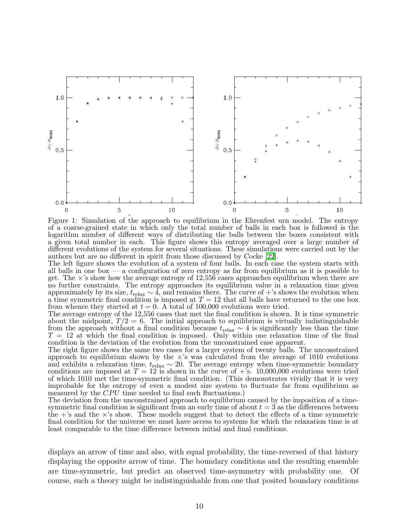

Figure 1: Simulation of the approach to equilibrium in the Ehrenfest urn model. The entropy of a coarse-grained state in which only the total number of balls in each box is followed is the logarithm number of different ways of distributing the balls between the boxes consistent with a given total number in each. This figure shows this entropy averaged over a large number of different evolutions of the system for several situations. These simulations were carried out by the authors but are no different in spirit from those discussed by Cocke [\[22](#page-24-20)].

The left figure shows the evolution of a system of four balls. In each case the system starts with all balls in one box — a configuration of zero entropy as far from equilibrium as it is possible to get. The  $\times$ 's show how the average entropy of 12,556 cases approaches equilibrium when there are no further constraints. The entropy approaches its equilibrium value in a relaxation time given approximately by its size,  $t_{relax} \sim 4$ , and remains there. The curve of +'s shows the evolution when a time symmetric final condition is imposed at  $T = 12$  that all balls have returned to the one box from whence they started at  $t = 0$ . A total of 100,000 evolutions were tried.

The average entropy of the 12,556 cases that met the final condition is shown. It is time symmetric about the midpoint,  $T/2 = 6$ . The initial approach to equilibrium is virtually indistinguishable from the approach without a final condition because  $t_{relax} \sim 4$  is significantly less than the time  $T = 12$  at which the final condition is imposed. Only within one relaxation time of the final condition is the deviation of the evolution from the unconstrained case apparent.

The right figure shows the same two cases for a larger system of twenty balls. The unconstrained approach to equilibrium shown by the  $\times$ 's was calculated from the average of 1010 evolutions and exhibits a relaxation time,  $t_{relax} \sim 20$ . The average entropy when time-symmetric boundary conditions are imposed at  $T = 12$  is shown in the curve of  $\pm$ 's. 10,000,000 evolutions were tried of which 1010 met the time-symmetric final condition. (This demonstrates vividly that it is very improbable for the entropy of even a modest size system to fluctuate far from equilibrium as measured by the  $CPU$  time needed to find such fluctuations.)

The deviation from the unconstrained approach to equilibrium caused by the imposition of a timesymmetric final condition is significant from an early time of about  $t = 3$  as the differences between the  $+$ 's and the  $\times$ 's show. These models suggest that to detect the effects of a time symmetric final condition for the universe we must have access to systems for which the relaxation time is at least comparable to the time difference between initial and final conditions.

displays an arrow of time and also, with equal probability, the time-reversed of that history displaying the opposite arrow of time. The boundary conditions and the resulting ensemble are time-symmetric, but predict an observed time-asymmetry with probability one. Of course, such a theory might be indistinguishable from one that posited boundary conditions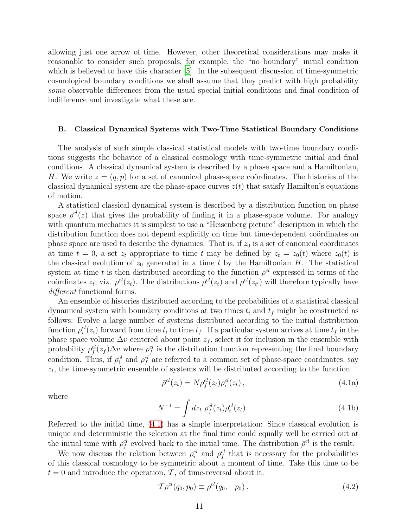allowing just one arrow of time. However, other theoretical considerations may make it reasonable to consider such proposals, for example, the "no boundary" initial condition which is believed to have this character [\[5](#page-24-2)]. In the subsequent discussion of time-symmetric cosmological boundary conditions we shall assume that they predict with high probability some observable differences from the usual special initial conditions and final condition of indifference and investigate what these are.

#### B. Classical Dynamical Systems with Two-Time Statistical Boundary Conditions

The analysis of such simple classical statistical models with two-time boundary conditions suggests the behavior of a classical cosmology with time-symmetric initial and final conditions. A classical dynamical system is described by a phase space and a Hamiltonian, H. We write  $z = (q, p)$  for a set of canonical phase-space coördinates. The histories of the classical dynamical system are the phase-space curves  $z(t)$  that satisfy Hamilton's equations of motion.

A statistical classical dynamical system is described by a distribution function on phase space  $\rho^{cl}(z)$  that gives the probability of finding it in a phase-space volume. For analogy with quantum mechanics it is simplest to use a "Heisenberg picture" description in which the distribution function does not depend explicitly on time but time-dependent coordinates on phase space are used to describe the dynamics. That is, if  $z_0$  is a set of canonical coördinates at time  $t = 0$ , a set  $z_t$  appropriate to time t may be defined by  $z_t = z_0(t)$  where  $z_0(t)$  is the classical evolution of  $z_0$  generated in a time t by the Hamiltonian H. The statistical system at time t is then distributed according to the function  $\rho^{cl}$  expressed in terms of the coördinates  $z_t$ , viz.  $\rho^{cl}(z_t)$ . The distributions  $\rho^{cl}(z_t)$  and  $\rho^{cl}(z_{t'})$  will therefore typically have different functional forms.

An ensemble of histories distributed according to the probabilities of a statistical classical dynamical system with boundary conditions at two times  $t_i$  and  $t_f$  might be constructed as follows: Evolve a large number of systems distributed according to the initial distribution function  $\rho_i^{cl}(z_i)$  forward from time  $t_i$  to time  $t_f$ . If a particular system arrives at time  $t_f$  in the phase space volume  $\Delta v$  centered about point  $z_f$ , select it for inclusion in the ensemble with probability  $\rho_f^{cl}(z_f) \Delta v$  where  $\rho_f^{cl}$  is the distribution function representing the final boundary condition. Thus, if  $\rho_i^{cl}$  and  $\rho_f^{cl}$  are referred to a common set of phase-space coördinates, say  $z_t$ , the time-symmetric ensemble of systems will be distributed according to the function

<span id="page-10-0"></span>
$$
\bar{\rho}^{cl}(z_t) = N \rho_f^{cl}(z_t) \rho_i^{cl}(z_t) , \qquad (4.1a)
$$

where

$$
N^{-1} = \int dz_t \ \rho_f^{cl}(z_t) \rho_i^{cl}(z_t) \,. \tag{4.1b}
$$

Referred to the initial time, [\(4.1\)](#page-10-0) has a simple interpretation: Since classical evolution is unique and deterministic the selection at the final time could equally well be carried out at the initial time with  $\rho_f^{cl}$  evolved back to the initial time. The distribution  $\bar{\rho}^{cl}$  is the result.

We now discuss the relation between  $\rho_i^{cl}$  and  $\rho_f^{cl}$  that is necessary for the probabilities of this classical cosmology to be symmetric about a moment of time. Take this time to be  $t = 0$  and introduce the operation,  $\mathcal{T}$ , of time-reversal about it.

$$
\mathcal{T}\rho^{cl}(q_0, p_0) \equiv \rho^{cl}(q_0, -p_0).
$$
\n(4.2)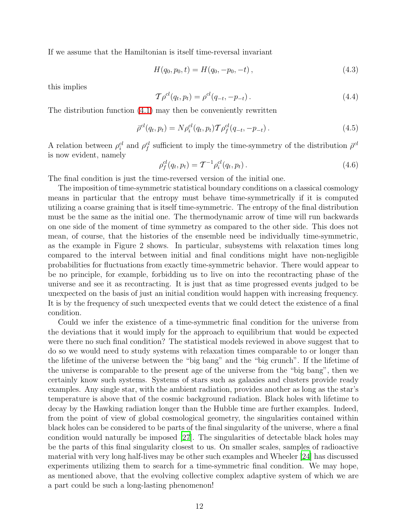If we assume that the Hamiltonian is itself time-reversal invariant

$$
H(q_0, p_0, t) = H(q_0, -p_0, -t), \qquad (4.3)
$$

this implies

<span id="page-11-1"></span>
$$
\mathcal{T}\rho^{cl}(q_t, p_t) = \rho^{cl}(q_{-t}, -p_{-t}). \qquad (4.4)
$$

The distribution function [\(4.1\)](#page-10-0) may then be conveniently rewritten

$$
\bar{\rho}^{cl}(q_t, p_t) = N \rho_i^{cl}(q_t, p_t) \mathcal{T} \rho_f^{cl}(q_{-t}, -p_{-t}). \qquad (4.5)
$$

<span id="page-11-0"></span>A relation between  $\rho_i^{cl}$  and  $\rho_f^{cl}$  sufficient to imply the time-symmetry of the distribution  $\bar{\rho}^{cl}$ is now evident, namely

$$
\rho_f^{cl}(q_t, p_t) = \mathcal{T}^{-1} \rho_i^{cl}(q_t, p_t).
$$
\n(4.6)

The final condition is just the time-reversed version of the initial one.

The imposition of time-symmetric statistical boundary conditions on a classical cosmology means in particular that the entropy must behave time-symmetrically if it is computed utilizing a coarse graining that is itself time-symmetric. The entropy of the final distribution must be the same as the initial one. The thermodynamic arrow of time will run backwards on one side of the moment of time symmetry as compared to the other side. This does not mean, of course, that the histories of the ensemble need be individually time-symmetric, as the example in Figure 2 shows. In particular, subsystems with relaxation times long compared to the interval between initial and final conditions might have non-negligible probabilities for fluctuations from exactly time-symmetric behavior. There would appear to be no principle, for example, forbidding us to live on into the recontracting phase of the universe and see it as recontracting. It is just that as time progressed events judged to be unexpected on the basis of just an initial condition would happen with increasing frequency. It is by the frequency of such unexpected events that we could detect the existence of a final condition.

Could we infer the existence of a time-symmetric final condition for the universe from the deviations that it would imply for the approach to equilibrium that would be expected were there no such final condition? The statistical models reviewed in above suggest that to do so we would need to study systems with relaxation times comparable to or longer than the lifetime of the universe between the "big bang" and the "big crunch". If the lifetime of the universe is comparable to the present age of the universe from the "big bang", then we certainly know such systems. Systems of stars such as galaxies and clusters provide ready examples. Any single star, with the ambient radiation, provides another as long as the star's temperature is above that of the cosmic background radiation. Black holes with lifetime to decay by the Hawking radiation longer than the Hubble time are further examples. Indeed, from the point of view of global cosmological geometry, the singularities contained within black holes can be considered to be parts of the final singularity of the universe, where a final condition would naturally be imposed [\[27](#page-24-25)]. The singularities of detectable black holes may be the parts of this final singularity closest to us. On smaller scales, samples of radioactive material with very long half-lives may be other such examples and Wheeler [\[24](#page-24-22)] has discussed experiments utilizing them to search for a time-symmetric final condition. We may hope, as mentioned above, that the evolving collective complex adaptive system of which we are a part could be such a long-lasting phenomenon!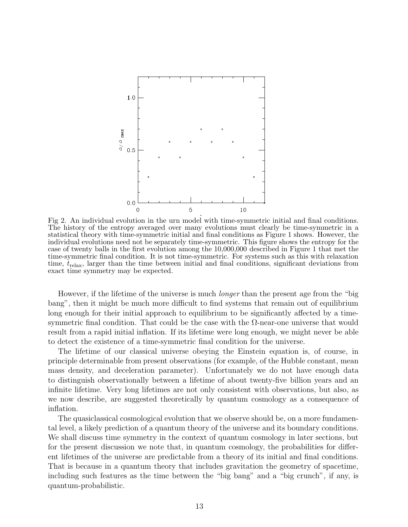

Fig 2. An individual evolution in the urn model with time-symmetric initial and final conditions. The history of the entropy averaged over many evolutions must clearly be time-symmetric in a statistical theory with time-symmetric initial and final conditions as Figure 1 shows. However, the individual evolutions need not be separately time-symmetric. This figure shows the entropy for the case of twenty balls in the first evolution among the 10,000,000 described in Figure 1 that met the time-symmetric final condition. It is not time-symmetric. For systems such as this with relaxation time,  $t_{\text{relax}}$ , larger than the time between initial and final conditions, significant deviations from exact time symmetry may be expected.

However, if the lifetime of the universe is much longer than the present age from the "big bang", then it might be much more difficult to find systems that remain out of equilibrium long enough for their initial approach to equilibrium to be significantly affected by a timesymmetric final condition. That could be the case with the  $\Omega$ -near-one universe that would result from a rapid initial inflation. If its lifetime were long enough, we might never be able to detect the existence of a time-symmetric final condition for the universe.

The lifetime of our classical universe obeying the Einstein equation is, of course, in principle determinable from present observations (for example, of the Hubble constant, mean mass density, and deceleration parameter). Unfortunately we do not have enough data to distinguish observationally between a lifetime of about twenty-five billion years and an infinite lifetime. Very long lifetimes are not only consistent with observations, but also, as we now describe, are suggested theoretically by quantum cosmology as a consequence of inflation.

The quasiclassical cosmological evolution that we observe should be, on a more fundamental level, a likely prediction of a quantum theory of the universe and its boundary conditions. We shall discuss time symmetry in the context of quantum cosmology in later sections, but for the present discussion we note that, in quantum cosmology, the probabilities for different lifetimes of the universe are predictable from a theory of its initial and final conditions. That is because in a quantum theory that includes gravitation the geometry of spacetime, including such features as the time between the "big bang" and a "big crunch", if any, is quantum-probabilistic.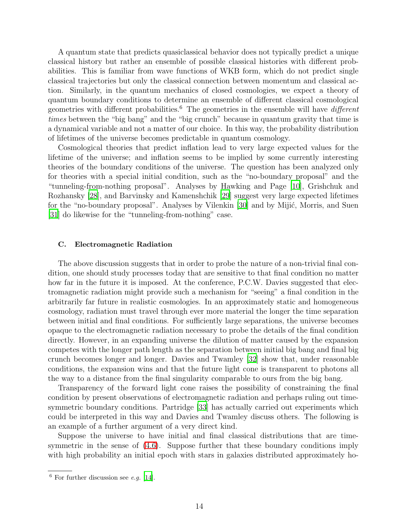A quantum state that predicts quasiclassical behavior does not typically predict a unique classical history but rather an ensemble of possible classical histories with different probabilities. This is familiar from wave functions of WKB form, which do not predict single classical trajectories but only the classical connection between momentum and classical action. Similarly, in the quantum mechanics of closed cosmologies, we expect a theory of quantum boundary conditions to determine an ensemble of different classical cosmological geometries with different probabilities.<sup>6</sup> The geometries in the ensemble will have *different* times between the "big bang" and the "big crunch" because in quantum gravity that time is a dynamical variable and not a matter of our choice. In this way, the probability distribution of lifetimes of the universe becomes predictable in quantum cosmology.

Cosmological theories that predict inflation lead to very large expected values for the lifetime of the universe; and inflation seems to be implied by some currently interesting theories of the boundary conditions of the universe. The question has been analyzed only for theories with a special initial condition, such as the "no-boundary proposal" and the "tunneling-from-nothing proposal". Analyses by Hawking and Page [\[10](#page-24-7)], Grishchuk and Rozhansky [\[28](#page-25-0)], and Barvinsky and Kamenshchik [\[29\]](#page-25-1) suggest very large expected lifetimes for the "no-boundary proposal". Analyses by Vilenkin [\[30](#page-25-2)] and by Mijić, Morris, and Suen [\[31](#page-25-3)] do likewise for the "tunneling-from-nothing" case.

# C. Electromagnetic Radiation

The above discussion suggests that in order to probe the nature of a non-trivial final condition, one should study processes today that are sensitive to that final condition no matter how far in the future it is imposed. At the conference, P.C.W. Davies suggested that electromagnetic radiation might provide such a mechanism for "seeing" a final condition in the arbitrarily far future in realistic cosmologies. In an approximately static and homogeneous cosmology, radiation must travel through ever more material the longer the time separation between initial and final conditions. For sufficiently large separations, the universe becomes opaque to the electromagnetic radiation necessary to probe the details of the final condition directly. However, in an expanding universe the dilution of matter caused by the expansion competes with the longer path length as the separation between initial big bang and final big crunch becomes longer and longer. Davies and Twamley [\[32](#page-25-4)] show that, under reasonable conditions, the expansion wins and that the future light cone is transparent to photons all the way to a distance from the final singularity comparable to ours from the big bang.

Transparency of the forward light cone raises the possibility of constraining the final condition by present observations of electromagnetic radiation and perhaps ruling out timesymmetric boundary conditions. Partridge [\[33](#page-25-5)] has actually carried out experiments which could be interpreted in this way and Davies and Twamley discuss others. The following is an example of a further argument of a very direct kind.

Suppose the universe to have initial and final classical distributions that are timesymmetric in the sense of  $(4.6)$ . Suppose further that these boundary conditions imply with high probability an initial epoch with stars in galaxies distributed approximately ho-

<sup>&</sup>lt;sup>6</sup> For further discussion see *e.g.* [\[14\]](#page-24-12).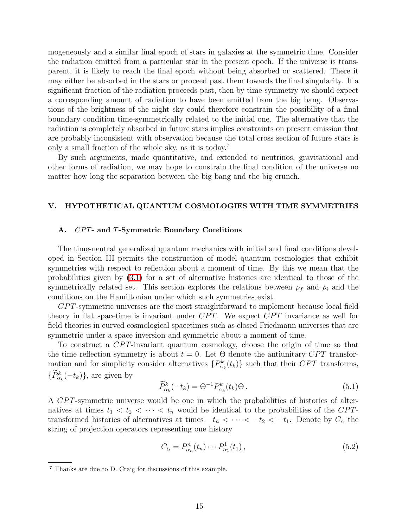mogeneously and a similar final epoch of stars in galaxies at the symmetric time. Consider the radiation emitted from a particular star in the present epoch. If the universe is transparent, it is likely to reach the final epoch without being absorbed or scattered. There it may either be absorbed in the stars or proceed past them towards the final singularity. If a significant fraction of the radiation proceeds past, then by time-symmetry we should expect a corresponding amount of radiation to have been emitted from the big bang. Observations of the brightness of the night sky could therefore constrain the possibility of a final boundary condition time-symmetrically related to the initial one. The alternative that the radiation is completely absorbed in future stars implies constraints on present emission that are probably inconsistent with observation because the total cross section of future stars is only a small fraction of the whole sky, as it is today.<sup>7</sup>

By such arguments, made quantitative, and extended to neutrinos, gravitational and other forms of radiation, we may hope to constrain the final condition of the universe no matter how long the separation between the big bang and the big crunch.

#### V. HYPOTHETICAL QUANTUM COSMOLOGIES WITH TIME SYMMETRIES

### A. CPT- and T-Symmetric Boundary Conditions

The time-neutral generalized quantum mechanics with initial and final conditions developed in Section III permits the construction of model quantum cosmologies that exhibit symmetries with respect to reflection about a moment of time. By this we mean that the probabilities given by [\(3.1\)](#page-6-0) for a set of alternative histories are identical to those of the symmetrically related set. This section explores the relations between  $\rho_f$  and  $\rho_i$  and the conditions on the Hamiltonian under which such symmetries exist.

CP T-symmetric universes are the most straightforward to implement because local field theory in flat spacetime is invariant under  $CPT$ . We expect  $CPT$  invariance as well for field theories in curved cosmological spacetimes such as closed Friedmann universes that are symmetric under a space inversion and symmetric about a moment of time.

<span id="page-14-0"></span>To construct a CPT-invariant quantum cosmology, choose the origin of time so that the time reflection symmetry is about  $t = 0$ . Let  $\Theta$  denote the antiunitary CPT transformation and for simplicity consider alternatives  $\{P_{\alpha_k}^k(t_k)\}\$  such that their CPT transforms,  $\{\widetilde{P}_{\alpha_k}^k(-t_k)\}\text{, are given by}$ 

$$
\widetilde{P}_{\alpha_k}^k(-t_k) = \Theta^{-1} P_{\alpha_k}^k(t_k) \Theta \,. \tag{5.1}
$$

A CPT-symmetric universe would be one in which the probabilities of histories of alternatives at times  $t_1 < t_2 < \cdots < t_n$  would be identical to the probabilities of the CPTtransformed histories of alternatives at times  $-t_n < \cdots < -t_2 < -t_1$ . Denote by  $C_\alpha$  the string of projection operators representing one history

$$
C_{\alpha} = P_{\alpha_n}^n(t_n) \cdots P_{\alpha_1}^1(t_1), \qquad (5.2)
$$

<sup>7</sup> Thanks are due to D. Craig for discussions of this example.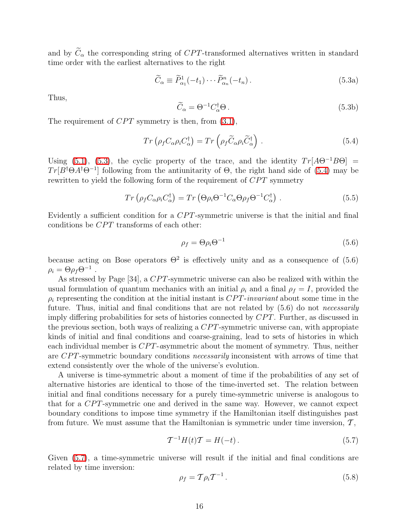and by  $\widetilde{C}_{\alpha}$  the corresponding string of CPT-transformed alternatives written in standard time order with the earliest alternatives to the right

<span id="page-15-0"></span>
$$
\widetilde{C}_{\alpha} \equiv \widetilde{P}_{\alpha_1}^1(-t_1) \cdots \widetilde{P}_{\alpha_n}^n(-t_n). \tag{5.3a}
$$

Thus,

<span id="page-15-1"></span>
$$
\widetilde{C}_{\alpha} = \Theta^{-1} C_{\alpha}^{\dagger} \Theta \,. \tag{5.3b}
$$

The requirement of  $CPT$  symmetry is then, from  $(3.1)$ ,

$$
Tr\left(\rho_f C_\alpha \rho_i C_\alpha^\dagger\right) = Tr\left(\rho_f \widetilde{C}_\alpha \rho_i \widetilde{C}_\alpha^\dagger\right) . \tag{5.4}
$$

Using [\(5.1\)](#page-14-0), [\(5.3\)](#page-15-0), the cyclic property of the trace, and the identity  $Tr[A\Theta^{-1}B\Theta] =$  $Tr[B^{\dagger}\Theta A^{\dagger}\Theta^{-1}]$  following from the antiunitarity of  $\Theta$ , the right hand side of [\(5.4\)](#page-15-1) may be rewritten to yield the following form of the requirement of  $CPT$  symmetry

$$
Tr\left(\rho_f C_\alpha \rho_i C_\alpha^\dagger\right) = Tr\left(\Theta \rho_i \Theta^{-1} C_\alpha \Theta \rho_f \Theta^{-1} C_\alpha^\dagger\right) \,. \tag{5.5}
$$

Evidently a sufficient condition for a CPT-symmetric universe is that the initial and final conditions be  $CPT$  transforms of each other:

<span id="page-15-3"></span>
$$
\rho_f = \Theta \rho_i \Theta^{-1} \tag{5.6}
$$

because acting on Bose operators  $\Theta^2$  is effectively unity and as a consequence of  $(5.6)$  $\rho_i = \Theta \rho_f \Theta^{-1}$  .

As stressed by Page  $[34]$ , a CPT-symmetric universe can also be realized with within the usual formulation of quantum mechanics with an initial  $\rho_i$  and a final  $\rho_f = I$ , provided the  $\rho_i$  representing the condition at the initial instant is CPT-invariant about some time in the future. Thus, initial and final conditions that are not related by  $(5.6)$  do not *necessarily* imply differing probabilities for sets of histories connected by  $CPT$ . Further, as discussed in the previous section, both ways of realizing a  $CPT$ -symmetric universe can, with appropiate kinds of initial and final conditions and coarse-graining, lead to sets of histories in which each individual member is  $CPT$ -asymmetric about the moment of symmetry. Thus, neither are CPT-symmetric boundary conditions *necessarily* inconsistent with arrows of time that extend consistently over the whole of the universe's evolution.

A universe is time-symmetric about a moment of time if the probabilities of any set of alternative histories are identical to those of the time-inverted set. The relation between initial and final conditions necessary for a purely time-symmetric universe is analogous to that for a  $CPT$ -symmetric one and derived in the same way. However, we cannot expect boundary conditions to impose time symmetry if the Hamiltonian itself distinguishes past from future. We must assume that the Hamiltonian is symmetric under time inversion,  $\mathcal{T}$ ,

<span id="page-15-2"></span>
$$
\mathcal{T}^{-1}H(t)\mathcal{T} = H(-t). \tag{5.7}
$$

<span id="page-15-4"></span>Given [\(5.7\)](#page-15-2), a time-symmetric universe will result if the initial and final conditions are related by time inversion:

$$
\rho_f = \mathcal{T}\rho_i \mathcal{T}^{-1} \,. \tag{5.8}
$$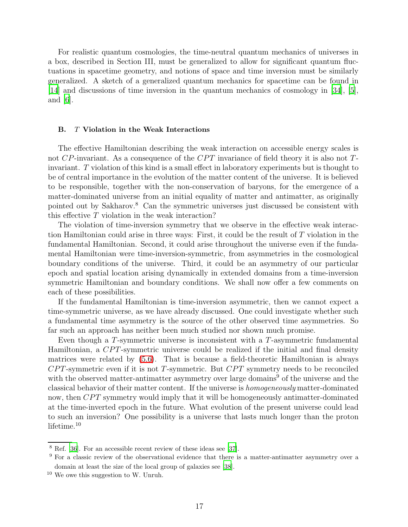For realistic quantum cosmologies, the time-neutral quantum mechanics of universes in a box, described in Section III, must be generalized to allow for significant quantum fluctuations in spacetime geometry, and notions of space and time inversion must be similarly generalized. A sketch of a generalized quantum mechanics for spacetime can be found in [\[14](#page-24-12)] and discussions of time inversion in the quantum mechanics of cosmology in [\[34](#page-25-6)], [\[5\]](#page-24-2), and [\[6\]](#page-24-3).

# B. T Violation in the Weak Interactions

The effective Hamiltonian describing the weak interaction on accessible energy scales is not  $CP$ -invariant. As a consequence of the  $CPT$  invariance of field theory it is also not  $T$ invariant. T violation of this kind is a small effect in laboratory experiments but is thought to be of central importance in the evolution of the matter content of the universe. It is believed to be responsible, together with the non-conservation of baryons, for the emergence of a matter-dominated universe from an initial equality of matter and antimatter, as originally pointed out by Sakharov.<sup>8</sup> Can the symmetric universes just discussed be consistent with this effective  $T$  violation in the weak interaction?

The violation of time-inversion symmetry that we observe in the effective weak interaction Hamiltonian could arise in three ways: First, it could be the result of T violation in the fundamental Hamiltonian. Second, it could arise throughout the universe even if the fundamental Hamiltonian were time-inversion-symmetric, from asymmetries in the cosmological boundary conditions of the universe. Third, it could be an asymmetry of our particular epoch and spatial location arising dynamically in extended domains from a time-inversion symmetric Hamiltonian and boundary conditions. We shall now offer a few comments on each of these possibilities.

If the fundamental Hamiltonian is time-inversion asymmetric, then we cannot expect a time-symmetric universe, as we have already discussed. One could investigate whether such a fundamental time asymmetry is the source of the other observed time asymmetries. So far such an approach has neither been much studied nor shown much promise.

Even though a T-symmetric universe is inconsistent with a T-asymmetric fundamental Hamiltonian, a CPT-symmetric universe could be realized if the initial and final density matrices were related by [\(5.6\)](#page-15-3). That is because a field-theoretic Hamiltonian is always  $CPT$ -symmetric even if it is not T-symmetric. But  $CPT$  symmetry needs to be reconciled with the observed matter-antimatter asymmetry over large domains<sup>9</sup> of the universe and the classical behavior of their matter content. If the universe is homogeneously matter-dominated now, then CPT symmetry would imply that it will be homogeneously antimatter-dominated at the time-inverted epoch in the future. What evolution of the present universe could lead to such an inversion? One possibility is a universe that lasts much longer than the proton lifetime.<sup>10</sup>

<sup>8</sup> Ref. [\[36\]](#page-25-7). For an accessible recent review of these ideas see [\[37\]](#page-25-8).

<sup>&</sup>lt;sup>9</sup> For a classic review of the observational evidence that there is a matter-antimatter asymmetry over a domain at least the size of the local group of galaxies see [\[38\]](#page-25-9).

<sup>10</sup> We owe this suggestion to W. Unruh.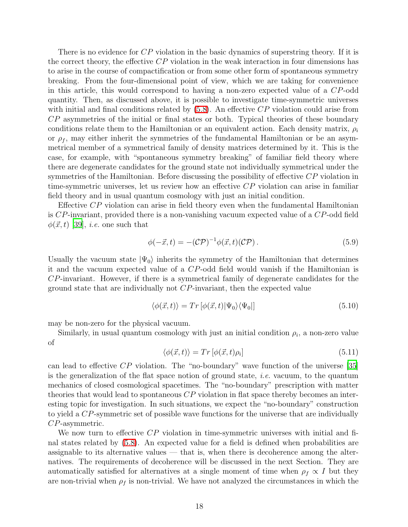There is no evidence for CP violation in the basic dynamics of superstring theory. If it is the correct theory, the effective  $\mathbb{CP}$  violation in the weak interaction in four dimensions has to arise in the course of compactification or from some other form of spontaneous symmetry breaking. From the four-dimensional point of view, which we are taking for convenience in this article, this would correspond to having a non-zero expected value of a CP-odd quantity. Then, as discussed above, it is possible to investigate time-symmetric universes with initial and final conditions related by  $(5.8)$ . An effective  $CP$  violation could arise from CP asymmetries of the initial or final states or both. Typical theories of these boundary conditions relate them to the Hamiltonian or an equivalent action. Each density matrix,  $\rho_i$ or  $\rho_f$ , may either inherit the symmetries of the fundamental Hamiltonian or be an asymmetrical member of a symmetrical family of density matrices determined by it. This is the case, for example, with "spontaneous symmetry breaking" of familiar field theory where there are degenerate candidates for the ground state not individually symmetrical under the symmetries of the Hamiltonian. Before discussing the possibility of effective  $\overline{CP}$  violation in time-symmetric universes, let us review how an effective CP violation can arise in familiar field theory and in usual quantum cosmology with just an initial condition.

Effective CP violation can arise in field theory even when the fundamental Hamiltonian is CP-invariant, provided there is a non-vanishing vacuum expected value of a CP-odd field  $\phi(\vec{x}, t)$  [\[39](#page-25-10)], *i.e.* one such that

$$
\phi(-\vec{x},t) = -(\mathcal{CP})^{-1}\phi(\vec{x},t)(\mathcal{CP}).\tag{5.9}
$$

Usually the vacuum state  $|\Psi_0\rangle$  inherits the symmetry of the Hamiltonian that determines it and the vacuum expected value of a CP-odd field would vanish if the Hamiltonian is CP-invariant. However, if there is a symmetrical family of degenerate candidates for the ground state that are individually not CP-invariant, then the expected value

<span id="page-17-0"></span>
$$
\langle \phi(\vec{x},t) \rangle = Tr \left[ \phi(\vec{x},t) | \Psi_0 \rangle \langle \Psi_0 | \right] \tag{5.10}
$$

may be non-zero for the physical vacuum.

<span id="page-17-1"></span>Similarly, in usual quantum cosmology with just an initial condition  $\rho_i$ , a non-zero value of

$$
\langle \phi(\vec{x}, t) \rangle = Tr \left[ \phi(\vec{x}, t) \rho_i \right] \tag{5.11}
$$

can lead to effective  $CP$  violation. The "no-boundary" wave function of the universe [\[35\]](#page-25-11) is the generalization of the flat space notion of ground state, i.e. vacuum, to the quantum mechanics of closed cosmological spacetimes. The "no-boundary" prescription with matter theories that would lead to spontaneous CP violation in flat space thereby becomes an interesting topic for investigation. In such situations, we expect the "no-boundary" construction to yield a CP-symmetric set of possible wave functions for the universe that are individually CP-asymmetric.

We now turn to effective  $\overline{CP}$  violation in time-symmetric universes with initial and final states related by [\(5.8\)](#page-15-4). An expected value for a field is defined when probabilities are assignable to its alternative values — that is, when there is decoherence among the alternatives. The requirements of decoherence will be discussed in the next Section. They are automatically satisfied for alternatives at a single moment of time when  $\rho_f \propto I$  but they are non-trivial when  $\rho_f$  is non-trivial. We have not analyzed the circumstances in which the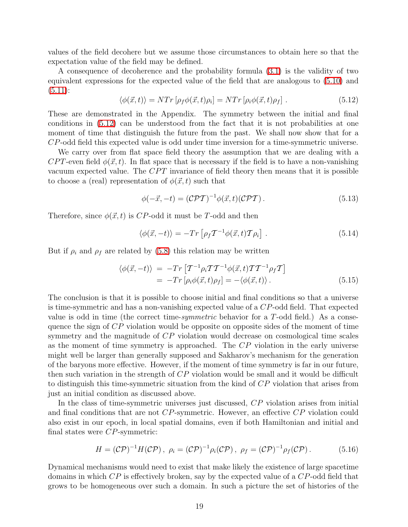values of the field decohere but we assume those circumstances to obtain here so that the expectation value of the field may be defined.

<span id="page-18-0"></span>A consequence of decoherence and the probability formula [\(3.1\)](#page-6-0) is the validity of two equivalent expressions for the expected value of the field that are analogous to [\(5.10\)](#page-17-0) and  $(5.11):$  $(5.11):$ 

$$
\langle \phi(\vec{x},t) \rangle = NTr \left[ \rho_f \phi(\vec{x},t) \rho_i \right] = NTr \left[ \rho_i \phi(\vec{x},t) \rho_f \right]. \tag{5.12}
$$

These are demonstrated in the Appendix. The symmetry between the initial and final conditions in [\(5.12\)](#page-18-0) can be understood from the fact that it is not probabilities at one moment of time that distinguish the future from the past. We shall now show that for a CP-odd field this expected value is odd under time inversion for a time-symmetric universe.

We carry over from flat space field theory the assumption that we are dealing with a CPT-even field  $\phi(\vec{x}, t)$ . In flat space that is necessary if the field is to have a non-vanishing vacuum expected value. The  $CPT$  invariance of field theory then means that it is possible to choose a (real) representation of  $\phi(\vec{x}, t)$  such that

$$
\phi(-\vec{x}, -t) = (\mathcal{C}\mathcal{P}\mathcal{T})^{-1}\phi(\vec{x}, t)(\mathcal{C}\mathcal{P}\mathcal{T}).
$$
\n(5.13)

Therefore, since  $\phi(\vec{x}, t)$  is CP-odd it must be T-odd and then

$$
\langle \phi(\vec{x}, -t) \rangle = -Tr \left[ \rho_f T^{-1} \phi(\vec{x}, t) T \rho_i \right]. \tag{5.14}
$$

But if  $\rho_i$  and  $\rho_f$  are related by [\(5.8\)](#page-15-4) this relation may be written

$$
\langle \phi(\vec{x}, -t) \rangle = -Tr \left[ T^{-1} \rho_i T T^{-1} \phi(\vec{x}, t) T T^{-1} \rho_f T \right]
$$
  
= 
$$
-Tr \left[ \rho_i \phi(\vec{x}, t) \rho_f \right] = -\langle \phi(\vec{x}, t) \rangle .
$$
 (5.15)

The conclusion is that it is possible to choose initial and final conditions so that a universe is time-symmetric and has a non-vanishing expected value of a CP-odd field. That expected value is odd in time (the correct time-symmetric behavior for a  $T$ -odd field.) As a consequence the sign of CP violation would be opposite on opposite sides of the moment of time symmetry and the magnitude of  $CP$  violation would decrease on cosmological time scales as the moment of time symmetry is approached. The CP violation in the early universe might well be larger than generally supposed and Sakharov's mechanism for the generation of the baryons more effective. However, if the moment of time symmetry is far in our future, then such variation in the strength of CP violation would be small and it would be difficult to distinguish this time-symmetric situation from the kind of CP violation that arises from just an initial condition as discussed above.

In the class of time-symmetric universes just discussed, CP violation arises from initial and final conditions that are not CP-symmetric. However, an effective CP violation could also exist in our epoch, in local spatial domains, even if both Hamiltonian and initial and final states were CP-symmetric:

<span id="page-18-1"></span>
$$
H = (\mathcal{CP})^{-1} H(\mathcal{CP}), \ \rho_i = (\mathcal{CP})^{-1} \rho_i(\mathcal{CP}), \ \rho_f = (\mathcal{CP})^{-1} \rho_f(\mathcal{CP}). \tag{5.16}
$$

Dynamical mechanisms would need to exist that make likely the existence of large spacetime domains in which CP is effectively broken, say by the expected value of a CP-odd field that grows to be homogeneous over such a domain. In such a picture the set of histories of the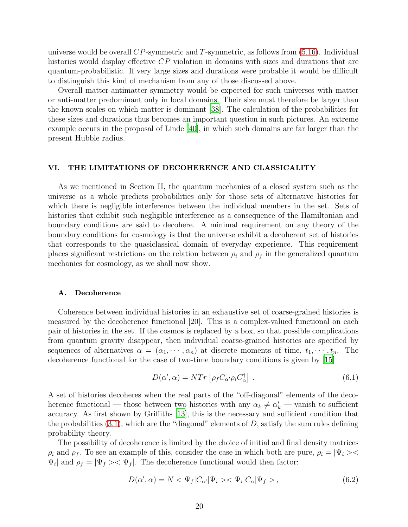universe would be overall  $CP$ -symmetric and T-symmetric, as follows from  $(5.16)$ . Individual histories would display effective CP violation in domains with sizes and durations that are quantum-probabilistic. If very large sizes and durations were probable it would be difficult to distinguish this kind of mechanism from any of those discussed above.

Overall matter-antimatter symmetry would be expected for such universes with matter or anti-matter predominant only in local domains. Their size must therefore be larger than the known scales on which matter is dominant [\[38\]](#page-25-9). The calculation of the probabilities for these sizes and durations thus becomes an important question in such pictures. An extreme example occurs in the proposal of Linde [\[40](#page-25-12)], in which such domains are far larger than the present Hubble radius.

#### VI. THE LIMITATIONS OF DECOHERENCE AND CLASSICALITY

As we mentioned in Section II, the quantum mechanics of a closed system such as the universe as a whole predicts probabilities only for those sets of alternative histories for which there is negligible interference between the individual members in the set. Sets of histories that exhibit such negligible interference as a consequence of the Hamiltonian and boundary conditions are said to decohere. A minimal requirement on any theory of the boundary conditions for cosmology is that the universe exhibit a decoherent set of histories that corresponds to the quasiclassical domain of everyday experience. This requirement places significant restrictions on the relation between  $\rho_i$  and  $\rho_f$  in the generalized quantum mechanics for cosmology, as we shall now show.

#### A. Decoherence

Coherence between individual histories in an exhaustive set of coarse-grained histories is measured by the decoherence functional [20]. This is a complex-valued functional on each pair of histories in the set. If the cosmos is replaced by a box, so that possible complications from quantum gravity disappear, then individual coarse-grained histories are specified by sequences of alternatives  $\alpha = (\alpha_1, \dots, \alpha_n)$  at discrete moments of time,  $t_1, \dots, t_n$ . The decoherence functional for the case of two-time boundary conditions is given by [\[15](#page-24-13)]

$$
D(\alpha', \alpha) = NTr \left[ \rho_f C_{\alpha'} \rho_i C_{\alpha}^{\dagger} \right] . \tag{6.1}
$$

A set of histories decoheres when the real parts of the "off-diagonal" elements of the decoherence functional — those between two histories with any  $\alpha_k \neq \alpha'_k$  — vanish to sufficient accuracy. As first shown by Griffiths [\[13\]](#page-24-11), this is the necessary and sufficient condition that the probabilities  $(3.1)$ , which are the "diagonal" elements of D, satisfy the sum rules defining probability theory.

The possibility of decoherence is limited by the choice of initial and final density matrices  $\rho_i$  and  $\rho_f$ . To see an example of this, consider the case in which both are pure,  $\rho_i = |\Psi_i\rangle$  $\Psi_i$  and  $\rho_f = |\Psi_f \rangle \langle \Psi_f |$ . The decoherence functional would then factor:

$$
D(\alpha', \alpha) = N < \Psi_f | C_{\alpha'} | \Psi_i > \langle \Psi_i | C_{\alpha} | \Psi_f \rangle \tag{6.2}
$$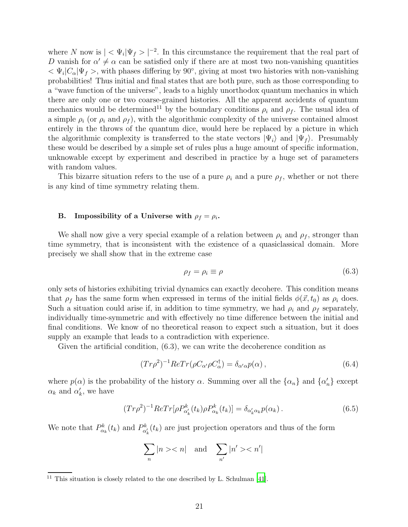where N now is  $| \langle \Psi_i | \Psi_f \rangle |^{-2}$ . In this circumstance the requirement that the real part of D vanish for  $\alpha' \neq \alpha$  can be satisfied only if there are at most two non-vanishing quantities  $\langle \Psi_i | C_\alpha | \Psi_f \rangle$ , with phases differing by 90°, giving at most two histories with non-vanishing probabilities! Thus initial and final states that are both pure, such as those corresponding to a "wave function of the universe", leads to a highly unorthodox quantum mechanics in which there are only one or two coarse-grained histories. All the apparent accidents of quantum mechanics would be determined<sup>11</sup> by the boundary conditions  $\rho_i$  and  $\rho_f$ . The usual idea of a simple  $\rho_i$  (or  $\rho_i$  and  $\rho_f$ ), with the algorithmic complexity of the universe contained almost entirely in the throws of the quantum dice, would here be replaced by a picture in which the algorithmic complexity is transferred to the state vectors  $|\Psi_i\rangle$  and  $|\Psi_f\rangle$ . Presumably these would be described by a simple set of rules plus a huge amount of specific information, unknowable except by experiment and described in practice by a huge set of parameters with random values.

This bizarre situation refers to the use of a pure  $\rho_i$  and a pure  $\rho_f$ , whether or not there is any kind of time symmetry relating them.

# B. Impossibility of a Universe with  $\rho_f = \rho_i$ .

We shall now give a very special example of a relation between  $\rho_i$  and  $\rho_f$ , stronger than time symmetry, that is inconsistent with the existence of a quasiclassical domain. More precisely we shall show that in the extreme case

<span id="page-20-0"></span>
$$
\rho_f = \rho_i \equiv \rho \tag{6.3}
$$

only sets of histories exhibiting trivial dynamics can exactly decohere. This condition means that  $\rho_f$  has the same form when expressed in terms of the initial fields  $\phi(\vec{x}, t_0)$  as  $\rho_i$  does. Such a situation could arise if, in addition to time symmetry, we had  $\rho_i$  and  $\rho_f$  separately, individually time-symmetric and with effectively no time difference between the initial and final conditions. We know of no theoretical reason to expect such a situation, but it does supply an example that leads to a contradiction with experience.

Given the artificial condition, (6.3), we can write the decoherence condition as

$$
(Tr\rho^2)^{-1}ReTr(\rho C_{\alpha'}\rho C_{\alpha}^{\dagger}) = \delta_{\alpha'\alpha}p(\alpha) , \qquad (6.4)
$$

where  $p(\alpha)$  is the probability of the history  $\alpha$ . Summing over all the  $\{\alpha_n\}$  and  $\{\alpha'_n\}$  except  $\alpha_k$  and  $\alpha'_k$ , we have

$$
(Tr \rho^2)^{-1} Re Tr[\rho P^k_{\alpha'_k}(t_k) \rho P^k_{\alpha_k}(t_k)] = \delta_{\alpha'_k \alpha_k} p(\alpha_k).
$$
 (6.5)

We note that  $P_{\alpha_k}^k(t_k)$  and  $P_{\alpha'_k}^k(t_k)$  are just projection operators and thus of the form

$$
\sum_{n} |n\rangle < n| \quad \text{and} \quad \sum_{n'} |n'\rangle < n'|
$$

<sup>&</sup>lt;sup>11</sup> This situation is closely related to the one described by L. Schulman [\[41](#page-25-13)].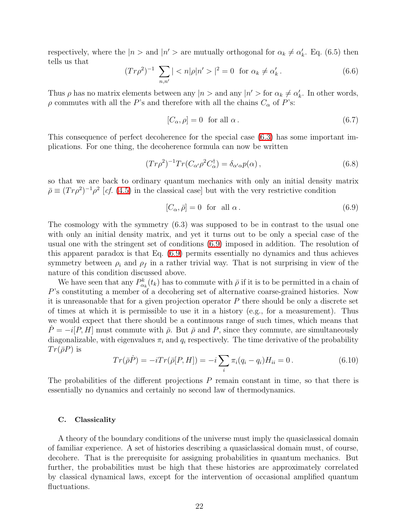respectively, where the  $|n\rangle$  and  $|n'\rangle$  are mutually orthogonal for  $\alpha_k \neq \alpha'_k$ . Eq. (6.5) then tells us that

$$
(Tr \rho^{2})^{-1} \sum_{n,n'} | \langle n | \rho | n' \rangle |^{2} = 0 \text{ for } \alpha_{k} \neq \alpha'_{k}.
$$
 (6.6)

Thus  $\rho$  has no matrix elements between any  $|n\rangle$  and any  $|n\rangle$  for  $\alpha_k \neq \alpha'_k$ . In other words,  $\rho$  commutes with all the P's and therefore with all the chains  $C_{\alpha}$  of P's:

$$
[C_{\alpha}, \rho] = 0 \quad \text{for all } \alpha \,. \tag{6.7}
$$

This consequence of perfect decoherence for the special case [\(6.3\)](#page-20-0) has some important implications. For one thing, the decoherence formula can now be written

$$
(Tr\rho^2)^{-1}Tr(C_{\alpha'}\rho^2 C_{\alpha}^{\dagger}) = \delta_{\alpha'\alpha}p(\alpha) , \qquad (6.8)
$$

so that we are back to ordinary quantum mechanics with only an initial density matrix  $\bar{\rho} \equiv (Tr \rho^2)^{-1} \rho^2$  [cf. [\(4.5\)](#page-11-1) in the classical case] but with the very restrictive condition

<span id="page-21-0"></span>
$$
[C_{\alpha}, \bar{\rho}] = 0 \quad \text{for all } \alpha \,. \tag{6.9}
$$

The cosmology with the symmetry (6.3) was supposed to be in contrast to the usual one with only an initial density matrix, and yet it turns out to be only a special case of the usual one with the stringent set of conditions [\(6.9\)](#page-21-0) imposed in addition. The resolution of this apparent paradox is that Eq. [\(6.9\)](#page-21-0) permits essentially no dynamics and thus achieves symmetry between  $\rho_i$  and  $\rho_f$  in a rather trivial way. That is not surprising in view of the nature of this condition discussed above.

We have seen that any  $P_{\alpha_k}^k(t_k)$  has to commute with  $\bar{\rho}$  if it is to be permitted in a chain of P's constituting a member of a decohering set of alternative coarse-grained histories. Now it is unreasonable that for a given projection operator  $P$  there should be only a discrete set of times at which it is permissible to use it in a history (e.g., for a measurement). Thus we would expect that there should be a continuous range of such times, which means that  $P = -i[P, H]$  must commute with  $\bar{\rho}$ . But  $\bar{\rho}$  and P, since they commute, are simultaneously diagonalizable, with eigenvalues  $\pi_i$  and  $q_i$  respectively. The time derivative of the probability  $Tr(\bar{\rho}P)$  is

$$
Tr(\bar{\rho}\dot{P}) = -iTr(\bar{\rho}[P,H]) = -i\sum_{i} \pi_{i}(q_{i} - q_{i})H_{ii} = 0.
$$
 (6.10)

The probabilities of the different projections  $P$  remain constant in time, so that there is essentially no dynamics and certainly no second law of thermodynamics.

#### C. Classicality

A theory of the boundary conditions of the universe must imply the quasiclassical domain of familiar experience. A set of histories describing a quasiclassical domain must, of course, decohere. That is the prerequisite for assigning probabilities in quantum mechanics. But further, the probabilities must be high that these histories are approximately correlated by classical dynamical laws, except for the intervention of occasional amplified quantum fluctuations.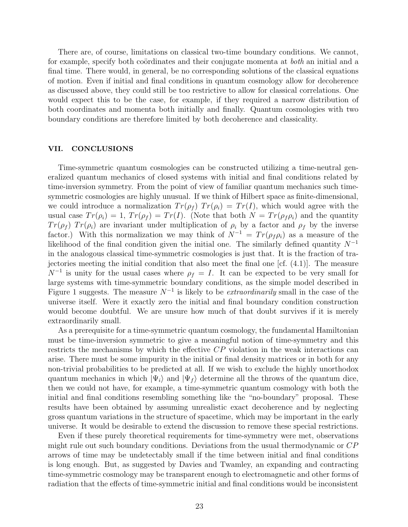There are, of course, limitations on classical two-time boundary conditions. We cannot, for example, specify both coördinates and their conjugate momenta at *both* an initial and a final time. There would, in general, be no corresponding solutions of the classical equations of motion. Even if initial and final conditions in quantum cosmology allow for decoherence as discussed above, they could still be too restrictive to allow for classical correlations. One would expect this to be the case, for example, if they required a narrow distribution of both coordinates and momenta both initially and finally. Quantum cosmologies with two boundary conditions are therefore limited by both decoherence and classicality.

#### VII. CONCLUSIONS

Time-symmetric quantum cosmologies can be constructed utilizing a time-neutral generalized quantum mechanics of closed systems with initial and final conditions related by time-inversion symmetry. From the point of view of familiar quantum mechanics such timesymmetric cosmologies are highly unusual. If we think of Hilbert space as finite-dimensional, we could introduce a normalization  $Tr(\rho_f) Tr(\rho_i) = Tr(I)$ , which would agree with the usual case  $Tr(\rho_i) = 1$ ,  $Tr(\rho_f) = Tr(I)$ . (Note that both  $N = Tr(\rho_f \rho_i)$  and the quantity  $Tr(\rho_f) Tr(\rho_i)$  are invariant under multiplication of  $\rho_i$  by a factor and  $\rho_f$  by the inverse factor.) With this normalization we may think of  $N^{-1} = Tr(\rho_f \rho_i)$  as a measure of the likelihood of the final condition given the initial one. The similarly defined quantity  $N^{-1}$ in the analogous classical time-symmetric cosmologies is just that. It is the fraction of trajectories meeting the initial condition that also meet the final one [cf. (4.1)]. The measure  $N^{-1}$  is unity for the usual cases where  $\rho_f = I$ . It can be expected to be very small for large systems with time-symmetric boundary conditions, as the simple model described in Figure 1 suggests. The measure  $N^{-1}$  is likely to be *extraordinarily* small in the case of the universe itself. Were it exactly zero the initial and final boundary condition construction would become doubtful. We are unsure how much of that doubt survives if it is merely extraordinarily small.

As a prerequisite for a time-symmetric quantum cosmology, the fundamental Hamiltonian must be time-inversion symmetric to give a meaningful notion of time-symmetry and this restricts the mechanisms by which the effective CP violation in the weak interactions can arise. There must be some impurity in the initial or final density matrices or in both for any non-trivial probabilities to be predicted at all. If we wish to exclude the highly unorthodox quantum mechanics in which  $|\Psi_i\rangle$  and  $|\Psi_f\rangle$  determine all the throws of the quantum dice, then we could not have, for example, a time-symmetric quantum cosmology with both the initial and final conditions resembling something like the "no-boundary" proposal. These results have been obtained by assuming unrealistic exact decoherence and by neglecting gross quantum variations in the structure of spacetime, which may be important in the early universe. It would be desirable to extend the discussion to remove these special restrictions.

Even if these purely theoretical requirements for time-symmetry were met, observations might rule out such boundary conditions. Deviations from the usual thermodynamic or CP arrows of time may be undetectably small if the time between initial and final conditions is long enough. But, as suggested by Davies and Twamley, an expanding and contracting time-symmetric cosmology may be transparent enough to electromagnetic and other forms of radiation that the effects of time-symmetric initial and final conditions would be inconsistent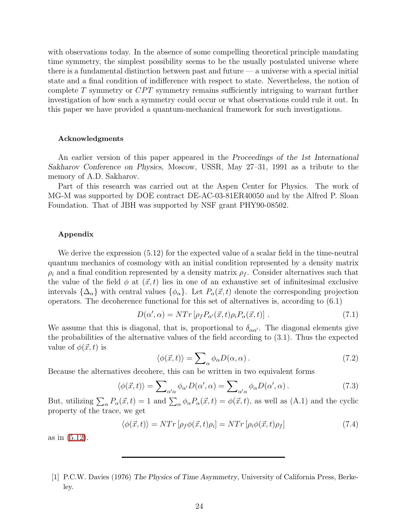with observations today. In the absence of some compelling theoretical principle mandating time symmetry, the simplest possibility seems to be the usually postulated universe where there is a fundamental distinction between past and future — a universe with a special initial state and a final condition of indifference with respect to state. Nevertheless, the notion of complete  $T$  symmetry or  $CPT$  symmetry remains sufficiently intriguing to warrant further investigation of how such a symmetry could occur or what observations could rule it out. In this paper we have provided a quantum-mechanical framework for such investigations.

#### Acknowledgments

An earlier version of this paper appeared in the Proceedings of the 1st International Sakharov Conference on Physics, Moscow, USSR, May 27–31, 1991 as a tribute to the memory of A.D. Sakharov.

Part of this research was carried out at the Aspen Center for Physics. The work of MG-M was supported by DOE contract DE-AC-03-81ER40050 and by the Alfred P. Sloan Foundation. That of JBH was supported by NSF grant PHY90-08502.

# Appendix

We derive the expression  $(5.12)$  for the expected value of a scalar field in the time-neutral quantum mechanics of cosmology with an initial condition represented by a density matrix  $\rho_i$  and a final condition represented by a density matrix  $\rho_f$ . Consider alternatives such that the value of the field  $\phi$  at  $(\vec{x}, t)$  lies in one of an exhaustive set of infinitesimal exclusive intervals  $\{\Delta_{\alpha}\}\$  with central values  $\{\phi_{\alpha}\}\$ . Let  $P_{\alpha}(\vec{x},t)$  denote the corresponding projection operators. The decoherence functional for this set of alternatives is, according to (6.1)

$$
D(\alpha', \alpha) = NTr \left[ \rho_f P_{\alpha'}(\vec{x}, t) \rho_i P_{\alpha}(\vec{x}, t) \right]. \tag{7.1}
$$

We assume that this is diagonal, that is, proportional to  $\delta_{\alpha\alpha'}$ . The diagonal elements give the probabilities of the alternative values of the field according to (3.1). Thus the expected value of  $\phi(\vec{x}, t)$  is

$$
\langle \phi(\vec{x},t) \rangle = \sum_{\alpha} \phi_{\alpha} D(\alpha, \alpha). \tag{7.2}
$$

Because the alternatives decohere, this can be written in two equivalent forms

$$
\langle \phi(\vec{x},t) \rangle = \sum_{\alpha'\alpha} \phi_{\alpha'} D(\alpha',\alpha) = \sum_{\alpha'\alpha} \phi_{\alpha} D(\alpha',\alpha) \,. \tag{7.3}
$$

But, utilizing  $\sum_{\alpha} P_{\alpha}(\vec{x}, t) = 1$  and  $\sum_{\alpha} \phi_{\alpha} P_{\alpha}(\vec{x}, t) = \phi(\vec{x}, t)$ , as well as (A.1) and the cyclic property of the trace, we get

$$
\langle \phi(\vec{x},t) \rangle = NTr \left[ \rho_f \phi(\vec{x},t) \rho_i \right] = NTr \left[ \rho_i \phi(\vec{x},t) \rho_f \right] \tag{7.4}
$$

as in [\(5.12\)](#page-18-0).

<span id="page-23-0"></span>[1] P.C.W. Davies (1976) *The Physics of Time Asymmetry*, University of California Press, Berkeley.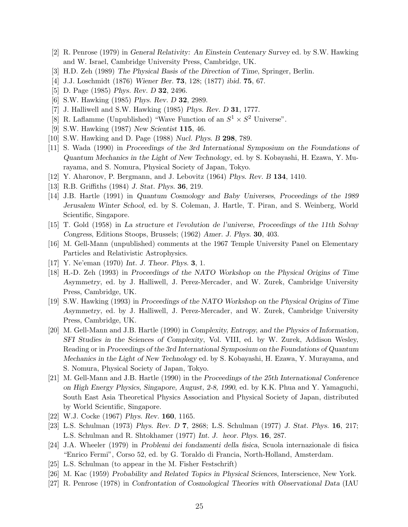- <span id="page-24-1"></span>[2] R. Penrose (1979) in *General Relativity: An Einstein Centenary Survey* ed. by S.W. Hawking and W. Israel, Cambridge University Press, Cambridge, UK.
- <span id="page-24-9"></span>[3] H.D. Zeh (1989) *The Physical Basis of the Direction of Time*, Springer, Berlin.
- <span id="page-24-0"></span>[4] J.J. Loschmidt (1876) *Wiener Ber.* 73, 128; (1877) *ibid.* 75, 67.
- <span id="page-24-3"></span><span id="page-24-2"></span>[5] D. Page (1985) *Phys. Rev. D* 32, 2496.
- [6] S.W. Hawking (1985) *Phys. Rev. D* 32, 2989.
- <span id="page-24-4"></span>[7] J. Halliwell and S.W. Hawking (1985) *Phys. Rev. D* 31, 1777.
- <span id="page-24-5"></span>[8] R. Laflamme (Unpublished) "Wave Function of an  $S^1 \times S^2$  Universe".
- [9] S.W. Hawking (1987) *New Scientist* 115, 46.
- <span id="page-24-7"></span><span id="page-24-6"></span>[10] S.W. Hawking and D. Page (1988) *Nucl. Phys. B* 298, 789.
- <span id="page-24-8"></span>[11] S. Wada (1990) in *Proceedings of the 3rd International Symposium on the Foundations of Quantum Mechanics in the Light of New Technology*, ed. by S. Kobayashi, H. Ezawa, Y. Murayama, and S. Nomura, Physical Society of Japan, Tokyo.
- <span id="page-24-10"></span>[12] Y. Aharonov, P. Bergmann, and J. Lebovitz (1964) *Phys. Rev. B* 134, 1410.
- <span id="page-24-11"></span>[13] R.B. Griffiths (1984) *J. Stat. Phys.* 36, 219.
- <span id="page-24-12"></span>[14] J.B. Hartle (1991) in *Quantum Cosmology and Baby Universes*, *Proceedings of the 1989 Jerusalem Winter School*, ed. by S. Coleman, J. Hartle, T. Piran, and S. Weinberg, World Scientific, Singapore.
- <span id="page-24-13"></span>[15] T. Gold (1958) in *La structure et l'evolution de l'universe*, *Proceedings of the 11th Solvay Congress*, Editions Stoops, Brussels; (1962) *Amer. J. Phys.* 30, 403.
- <span id="page-24-14"></span>[16] M. Gell-Mann (unpublished) comments at the 1967 Temple University Panel on Elementary Particles and Relativistic Astrophysics.
- <span id="page-24-15"></span>[17] Y. Ne'eman (1970) *Int. J. Theor. Phys.* 3, 1.
- <span id="page-24-16"></span>[18] H.-D. Zeh (1993) in *Proceedings of the NATO Workshop on the Physical Origins of Time Asymmetry*, ed. by J. Halliwell, J. Perez-Mercader, and W. Zurek, Cambridge University Press, Cambridge, UK.
- <span id="page-24-17"></span>[19] S.W. Hawking (1993) in *Proceedings of the NATO Workshop on the Physical Origins of Time Asymmetry*, ed. by J. Halliwell, J. Perez-Mercader, and W. Zurek, Cambridge University Press, Cambridge, UK.
- <span id="page-24-18"></span>[20] M. Gell-Mann and J.B. Hartle (1990) in *Complexity, Entropy, and the Physics of Information, SFI Studies in the Sciences of Complexity*, Vol. VIII, ed. by W. Zurek, Addison Wesley, Reading or in *Proceedings of the 3rd International Symposium on the Foundations of Quantum Mechanics in the Light of New Technology* ed. by S. Kobayashi, H. Ezawa, Y. Murayama, and S. Nomura, Physical Society of Japan, Tokyo.
- <span id="page-24-19"></span>[21] M. Gell-Mann and J.B. Hartle (1990) in the *Proceedings of the 25th International Conference on High Energy Physics, Singapore, August, 2-8, 1990*, ed. by K.K. Phua and Y. Yamaguchi, South East Asia Theoretical Physics Association and Physical Society of Japan, distributed by World Scientific, Singapore.
- <span id="page-24-20"></span>[22] W.J. Cocke (1967) *Phys. Rev.* 160, 1165.
- <span id="page-24-21"></span>[23] L.S. Schulman (1973) *Phys. Rev. D* 7, 2868; L.S. Schulman (1977) *J. Stat. Phys.* 16, 217; L.S. Schulman and R. Shtokhamer (1977) *Int. J. heor. Phys.* 16, 287.
- <span id="page-24-22"></span>[24] J.A. Wheeler (1979) in *Problemi dei fondamenti della fisica*, Scuola internazionale di fisica "Enrico Fermi", Corso 52, ed. by G. Toraldo di Francia, North-Holland, Amsterdam.
- <span id="page-24-23"></span>[25] L.S. Schulman (to appear in the M. Fisher Festschrift)
- <span id="page-24-24"></span>[26] M. Kac (1959) *Probability and Related Topics in Physical Sciences*, Interscience, New York.
- <span id="page-24-25"></span>[27] R. Penrose (1978) in *Confrontation of Cosmological Theories with Observational Data* (IAU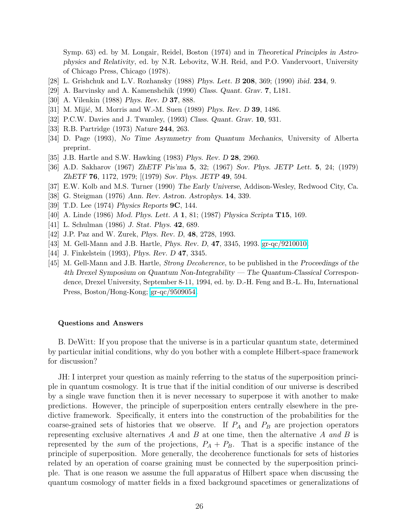Symp. 63) ed. by M. Longair, Reidel, Boston (1974) and in *Theoretical Principles in Astrophysics and Relativity*, ed. by N.R. Lebovitz, W.H. Reid, and P.O. Vandervoort, University of Chicago Press, Chicago (1978).

- <span id="page-25-0"></span>[28] L. Grishchuk and L.V. Rozhansky (1988) *Phys. Lett. B* 208, 369; (1990) *ibid.* 234, 9.
- <span id="page-25-1"></span>[29] A. Barvinsky and A. Kamenshchik (1990) *Class. Quant. Grav.* 7, L181.
- <span id="page-25-2"></span>[30] A. Vilenkin (1988) *Phys. Rev. D* 37, 888.
- <span id="page-25-4"></span><span id="page-25-3"></span>[31] M. Mijić, M. Morris and W.-M. Suen (1989) *Phys. Rev. D* 39, 1486.
- [32] P.C.W. Davies and J. Twamley, (1993) *Class. Quant. Grav.* 10, 931.
- <span id="page-25-5"></span>[33] R.B. Partridge (1973) *Nature* 244, 263.
- <span id="page-25-6"></span>[34] D. Page (1993), *No Time Asymmetry from Quantum Mechanics*, University of Alberta preprint.
- <span id="page-25-11"></span>[35] J.B. Hartle and S.W. Hawking (1983) *Phys. Rev. D* 28, 2960.
- <span id="page-25-7"></span>[36] A.D. Sakharov (1967) *ZhETF Pis'ma* 5, 32; (1967) *Sov. Phys. JETP Lett.* 5, 24; (1979) *ZhETF* 76, 1172, 1979; [(1979) *Sov. Phys. JETP* 49, 594.
- <span id="page-25-8"></span>[37] E.W. Kolb and M.S. Turner (1990) *The Early Universe*, Addison-Wesley, Redwood City, Ca.
- <span id="page-25-9"></span>[38] G. Steigman (1976) *Ann. Rev. Astron. Astrophys.* 14, 339.
- <span id="page-25-10"></span>[39] T.D. Lee (1974) *Physics Reports* 9C, 144.
- <span id="page-25-12"></span>[40] A. Linde (1986) *Mod. Phys. Lett. A* 1, 81; (1987) *Physica Scripta* T15, 169.
- <span id="page-25-13"></span>[41] L. Schulman (1986) *J. Stat. Phys.* 42, 689.
- <span id="page-25-14"></span>[42] J.P. Paz and W. Zurek, *Phys. Rev. D*, 48, 2728, 1993.
- <span id="page-25-15"></span>[43] M. Gell-Mann and J.B. Hartle, *Phys. Rev. D*, 47, 3345, 1993. [gr-qc/9210010.](http://arXiv.org/abs/gr-qc/9210010)
- <span id="page-25-16"></span>[44] J. Finkelstein (1993), *Phys. Rev. D* 47, 3345.
- <span id="page-25-17"></span>[45] M. Gell-Mann and J.B. Hartle, Strong Decoherence, to be published in the *Proceedings of the 4th Drexel Symposium on Quantum Non-Integrability — The Quantum-Classical Correspondence*, Drexel University, September 8-11, 1994, ed. by. D.-H. Feng and B.-L. Hu, International Press, Boston/Hong-Kong; [gr-qc/9509054.](http://arXiv.org/abs/gr-qc/9509054)

#### Questions and Answers

B. DeWitt: If you propose that the universe is in a particular quantum state, determined by particular initial conditions, why do you bother with a complete Hilbert-space framework for discussion?

JH: I interpret your question as mainly referring to the status of the superposition principle in quantum cosmology. It is true that if the initial condition of our universe is described by a single wave function then it is never necessary to superpose it with another to make predictions. However, the principle of superposition enters centrally elsewhere in the predictive framework. Specifically, it enters into the construction of the probabilities for the coarse-grained sets of histories that we observe. If  $P_A$  and  $P_B$  are projection operators representing exclusive alternatives  $A$  and  $B$  at one time, then the alternative  $A$  and  $B$  is represented by the sum of the projections,  $P_A + P_B$ . That is a specific instance of the principle of superposition. More generally, the decoherence functionals for sets of histories related by an operation of coarse graining must be connected by the superposition principle. That is one reason we assume the full apparatus of Hilbert space when discussing the quantum cosmology of matter fields in a fixed background spacetimes or generalizations of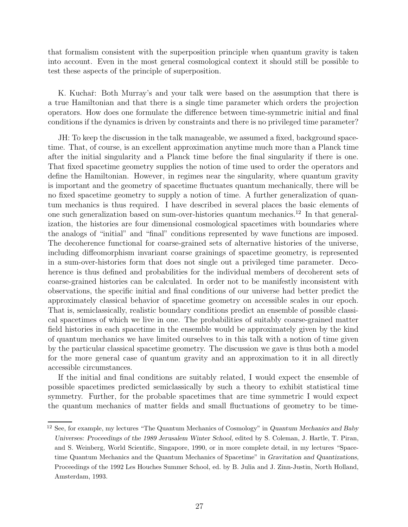that formalism consistent with the superposition principle when quantum gravity is taken into account. Even in the most general cosmological context it should still be possible to test these aspects of the principle of superposition.

K. Kuchař: Both Murray's and your talk were based on the assumption that there is a true Hamiltonian and that there is a single time parameter which orders the projection operators. How does one formulate the difference between time-symmetric initial and final conditions if the dynamics is driven by constraints and there is no privileged time parameter?

JH: To keep the discussion in the talk manageable, we assumed a fixed, background spacetime. That, of course, is an excellent approximation anytime much more than a Planck time after the initial singularity and a Planck time before the final singularity if there is one. That fixed spacetime geometry supplies the notion of time used to order the operators and define the Hamiltonian. However, in regimes near the singularity, where quantum gravity is important and the geometry of spacetime fluctuates quantum mechanically, there will be no fixed spacetime geometry to supply a notion of time. A further generalization of quantum mechanics is thus required. I have described in several places the basic elements of one such generalization based on sum-over-histories quantum mechanics.<sup>12</sup> In that generalization, the histories are four dimensional cosmological spacetimes with boundaries where the analogs of "initial" and "final" conditions represented by wave functions are imposed. The decoherence functional for coarse-grained sets of alternative histories of the universe, including diffeomorphism invariant coarse grainings of spacetime geometry, is represented in a sum-over-histories form that does not single out a privileged time parameter. Decoherence is thus defined and probabilities for the individual members of decoherent sets of coarse-grained histories can be calculated. In order not to be manifestly inconsistent with observations, the specific initial and final conditions of our universe had better predict the approximately classical behavior of spacetime geometry on accessible scales in our epoch. That is, semiclassically, realistic boundary conditions predict an ensemble of possible classical spacetimes of which we live in one. The probabilities of suitably coarse-grained matter field histories in each spacetime in the ensemble would be approximately given by the kind of quantum mechanics we have limited ourselves to in this talk with a notion of time given by the particular classical spacetime geometry. The discussion we gave is thus both a model for the more general case of quantum gravity and an approximation to it in all directly accessible circumstances.

If the initial and final conditions are suitably related, I would expect the ensemble of possible spacetimes predicted semiclassically by such a theory to exhibit statistical time symmetry. Further, for the probable spacetimes that are time symmetric I would expect the quantum mechanics of matter fields and small fluctuations of geometry to be time-

<sup>12</sup> See, for example, my lectures "The Quantum Mechanics of Cosmology" in *Quantum Mechanics and Baby Universes: Proceedings of the 1989 Jerusalem Winter School*, edited by S. Coleman, J. Hartle, T. Piran, and S. Weinberg, World Scientific, Singapore, 1990, or in more complete detail, in my lectures "Spacetime Quantum Mechanics and the Quantum Mechanics of Spacetime" in *Gravitation and Quantizations*, Proceedings of the 1992 Les Houches Summer School, ed. by B. Julia and J. Zinn-Justin, North Holland, Amsterdam, 1993.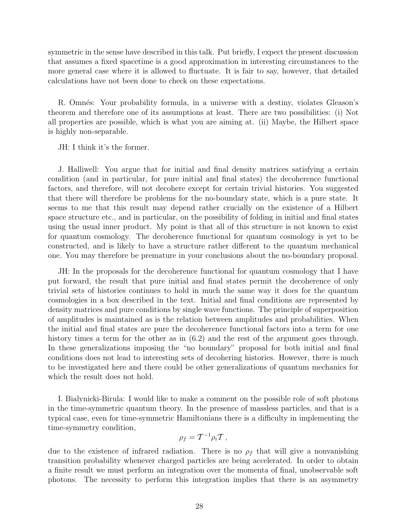symmetric in the sense have described in this talk. Put briefly, I expect the present discussion that assumes a fixed spacetime is a good approximation in interesting circumstances to the more general case where it is allowed to fluctuate. It is fair to say, however, that detailed calculations have not been done to check on these expectations.

R. Omnés: Your probability formula, in a universe with a destiny, violates Gleason's theorem and therefore one of its assumptions at least. There are two possibilities: (i) Not all properties are possible, which is what you are aiming at. (ii) Maybe, the Hilbert space is highly non-separable.

JH: I think it's the former.

J. Halliwell: You argue that for initial and final density matrices satisfying a certain condition (and in particular, for pure initial and final states) the decoherence functional factors, and therefore, will not decohere except for certain trivial histories. You suggested that there will therefore be problems for the no-boundary state, which is a pure state. It seems to me that this result may depend rather crucially on the existence of a Hilbert space structure etc., and in particular, on the possibility of folding in initial and final states using the usual inner product. My point is that all of this structure is not known to exist for quantum cosmology. The decoherence functional for quantum cosmology is yet to be constructed, and is likely to have a structure rather different to the quantum mechanical one. You may therefore be premature in your conclusions about the no-boundary proposal.

JH: In the proposals for the decoherence functional for quantum cosmology that I have put forward, the result that pure initial and final states permit the decoherence of only trivial sets of histories continues to hold in much the same way it does for the quantum cosmologies in a box described in the text. Initial and final conditions are represented by density matrices and pure conditions by single wave functions. The principle of superposition of amplitudes is maintained as is the relation between amplitudes and probabilities. When the initial and final states are pure the decoherence functional factors into a term for one history times a term for the other as in  $(6.2)$  and the rest of the argument goes through. In these generalizations imposing the "no boundary" proposal for both initial and final conditions does not lead to interesting sets of decohering histories. However, there is much to be investigated here and there could be other generalizations of quantum mechanics for which the result does not hold.

I. Bialynicki-Birula: I would like to make a comment on the possible role of soft photons in the time-symmetric quantum theory. In the presence of massless particles, and that is a typical case, even for time-symmetric Hamiltonians there is a difficulty in implementing the time-symmetry condition,

$$
\rho_f = \mathcal{T}^{-1} \rho_i \mathcal{T},
$$

due to the existence of infrared radiation. There is no  $\rho_f$  that will give a nonvanishing transition probability whenever charged particles are being accelerated. In order to obtain a finite result we must perform an integration over the momenta of final, unobservable soft photons. The necessity to perform this integration implies that there is an asymmetry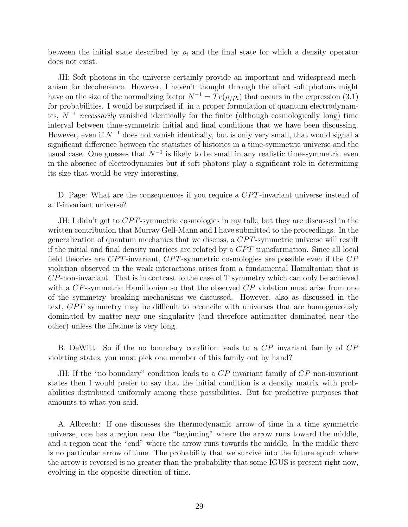between the initial state described by  $\rho_i$  and the final state for which a density operator does not exist.

JH: Soft photons in the universe certainly provide an important and widespread mechanism for decoherence. However, I haven't thought through the effect soft photons might have on the size of the normalizing factor  $N^{-1} = Tr(\rho_f \rho_i)$  that occurs in the expression (3.1) for probabilities. I would be surprised if, in a proper formulation of quantum electrodynamics,  $N^{-1}$  necessarily vanished identically for the finite (although cosmologically long) time interval between time-symmetric initial and final conditions that we have been discussing. However, even if  $N^{-1}$  does not vanish identically, but is only very small, that would signal a significant difference between the statistics of histories in a time-symmetric universe and the usual case. One guesses that  $N^{-1}$  is likely to be small in any realistic time-symmetric even in the absence of electrodynamics but if soft photons play a significant role in determining its size that would be very interesting.

D. Page: What are the consequences if you require a CPT-invariant universe instead of a T-invariant universe?

 $JH: I didn't get to CPT-symmetric cosmologies in my talk, but they are discussed in the$ written contribution that Murray Gell-Mann and I have submitted to the proceedings. In the generalization of quantum mechanics that we discuss, a  $CPT$ -symmetric universe will result if the initial and final density matrices are related by a  $CPT$  transformation. Since all local field theories are  $CPT$ -invariant,  $CPT$ -symmetric cosmologies are possible even if the  $CP$ violation observed in the weak interactions arises from a fundamental Hamiltonian that is CP-non-invariant. That is in contrast to the case of T symmetry which can only be achieved with a CP-symmetric Hamiltonian so that the observed CP violation must arise from one of the symmetry breaking mechanisms we discussed. However, also as discussed in the text, CPT symmetry may be difficult to reconcile with universes that are homogeneously dominated by matter near one singularity (and therefore antimatter dominated near the other) unless the lifetime is very long.

B. DeWitt: So if the no boundary condition leads to a CP invariant family of CP violating states, you must pick one member of this family out by hand?

JH: If the "no boundary" condition leads to a CP invariant family of CP non-invariant states then I would prefer to say that the initial condition is a density matrix with probabilities distributed uniformly among these possibilities. But for predictive purposes that amounts to what you said.

A. Albrecht: If one discusses the thermodynamic arrow of time in a time symmetric universe, one has a region near the "beginning" where the arrow runs toward the middle, and a region near the "end" where the arrow runs towards the middle. In the middle there is no particular arrow of time. The probability that we survive into the future epoch where the arrow is reversed is no greater than the probability that some IGUS is present right now, evolving in the opposite direction of time.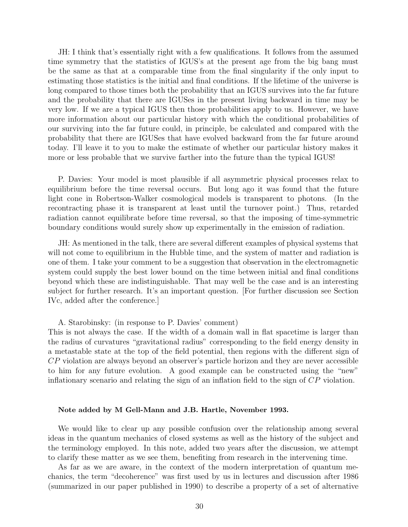JH: I think that's essentially right with a few qualifications. It follows from the assumed time symmetry that the statistics of IGUS's at the present age from the big bang must be the same as that at a comparable time from the final singularity if the only input to estimating those statistics is the initial and final conditions. If the lifetime of the universe is long compared to those times both the probability that an IGUS survives into the far future and the probability that there are IGUSes in the present living backward in time may be very low. If we are a typical IGUS then those probabilities apply to us. However, we have more information about our particular history with which the conditional probabilities of our surviving into the far future could, in principle, be calculated and compared with the probability that there are IGUSes that have evolved backward from the far future around today. I'll leave it to you to make the estimate of whether our particular history makes it more or less probable that we survive farther into the future than the typical IGUS!

P. Davies: Your model is most plausible if all asymmetric physical processes relax to equilibrium before the time reversal occurs. But long ago it was found that the future light cone in Robertson-Walker cosmological models is transparent to photons. (In the recontracting phase it is transparent at least until the turnover point.) Thus, retarded radiation cannot equilibrate before time reversal, so that the imposing of time-symmetric boundary conditions would surely show up experimentally in the emission of radiation.

JH: As mentioned in the talk, there are several different examples of physical systems that will not come to equilibrium in the Hubble time, and the system of matter and radiation is one of them. I take your comment to be a suggestion that observation in the electromagnetic system could supply the best lower bound on the time between initial and final conditions beyond which these are indistinguishable. That may well be the case and is an interesting subject for further research. It's an important question. [For further discussion see Section IVc, added after the conference.]

A. Starobinsky: (in response to P. Davies' comment)

This is not always the case. If the width of a domain wall in flat spacetime is larger than the radius of curvatures "gravitational radius" corresponding to the field energy density in a metastable state at the top of the field potential, then regions with the different sign of CP violation are always beyond an observer's particle horizon and they are never accessible to him for any future evolution. A good example can be constructed using the "new" inflationary scenario and relating the sign of an inflation field to the sign of CP violation.

# Note added by M Gell-Mann and J.B. Hartle, November 1993.

We would like to clear up any possible confusion over the relationship among several ideas in the quantum mechanics of closed systems as well as the history of the subject and the terminology employed. In this note, added two years after the discussion, we attempt to clarify these matter as we see them, benefiting from research in the intervening time.

As far as we are aware, in the context of the modern interpretation of quantum mechanics, the term "decoherence" was first used by us in lectures and discussion after 1986 (summarized in our paper published in 1990) to describe a property of a set of alternative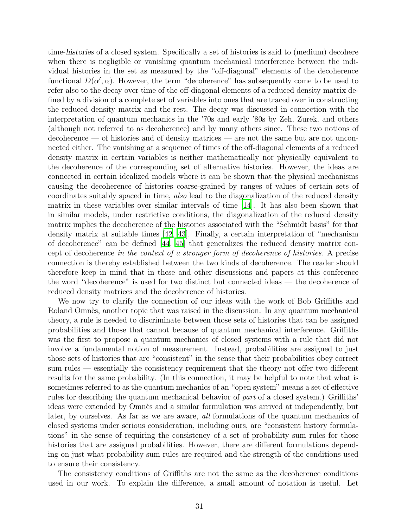time-histories of a closed system. Specifically a set of histories is said to (medium) decohere when there is negligible or vanishing quantum mechanical interference between the individual histories in the set as measured by the "off-diagonal" elements of the decoherence functional  $D(\alpha', \alpha)$ . However, the term "decoherence" has subsequently come to be used to refer also to the decay over time of the off-diagonal elements of a reduced density matrix defined by a division of a complete set of variables into ones that are traced over in constructing the reduced density matrix and the rest. The decay was discussed in connection with the interpretation of quantum mechanics in the '70s and early '80s by Zeh, Zurek, and others (although not referred to as decoherence) and by many others since. These two notions of decoherence — of histories and of density matrices — are not the same but are not unconnected either. The vanishing at a sequence of times of the off-diagonal elements of a reduced density matrix in certain variables is neither mathematically nor physically equivalent to the decoherence of the corresponding set of alternative histories. However, the ideas are connected in certain idealized models where it can be shown that the physical mechanisms causing the decoherence of histories coarse-grained by ranges of values of certain sets of coordinates suitably spaced in time, also lead to the diagonalization of the reduced density matrix in these variables over similar intervals of time [\[14\]](#page-24-12). It has also been shown that in similar models, under restrictive conditions, the diagonalization of the reduced density matrix implies the decoherence of the histories associated with the "Schmidt basis" for that density matrix at suitable times [\[42,](#page-25-14) [43\]](#page-25-15). Finally, a certain interpretation of "mechanism of decoherence" can be defined [\[44,](#page-25-16) [45](#page-25-17)] that generalizes the reduced density matrix concept of decoherence in the context of a stronger form of decoherence of histories. A precise connection is thereby established between the two kinds of decoherence. The reader should therefore keep in mind that in these and other discussions and papers at this conference the word "decoherence" is used for two distinct but connected ideas — the decoherence of reduced density matrices and the decoherence of histories.

We now try to clarify the connection of our ideas with the work of Bob Griffiths and Roland Omnès, another topic that was raised in the discussion. In any quantum mechanical theory, a rule is needed to discriminate between those sets of histories that can be assigned probabilities and those that cannot because of quantum mechanical interference. Griffiths was the first to propose a quantum mechanics of closed systems with a rule that did not involve a fundamental notion of measurement. Instead, probabilities are assigned to just those sets of histories that are "consistent" in the sense that their probabilities obey correct sum rules — essentially the consistency requirement that the theory not offer two different results for the same probability. (In this connection, it may be helpful to note that what is sometimes referred to as the quantum mechanics of an "open system" means a set of effective rules for describing the quantum mechanical behavior of part of a closed system.) Griffiths' ideas were extended by Omnès and a similar formulation was arrived at independently, but later, by ourselves. As far as we are aware, all formulations of the quantum mechanics of closed systems under serious consideration, including ours, are "consistent history formulations" in the sense of requiring the consistency of a set of probability sum rules for those histories that are assigned probabilities. However, there are different formulations depending on just what probability sum rules are required and the strength of the conditions used to ensure their consistency.

The consistency conditions of Griffiths are not the same as the decoherence conditions used in our work. To explain the difference, a small amount of notation is useful. Let